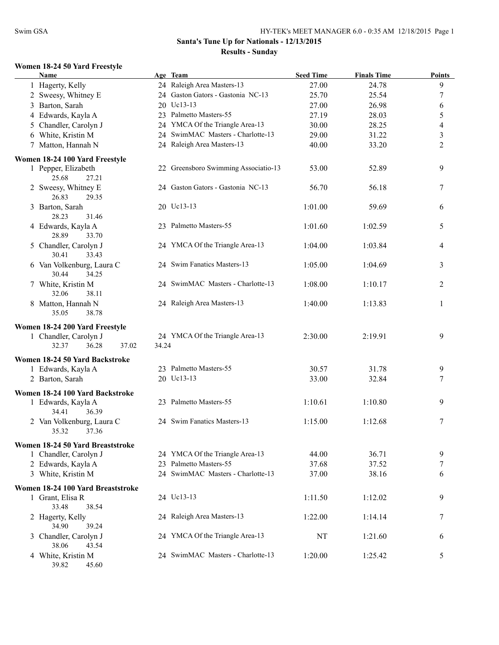#### **Women 18-24 50 Yard Freestyle**

| <b>Name</b>                                      |       | Age Team                             | <b>Seed Time</b> | <b>Finals Time</b> | <b>Points</b>    |
|--------------------------------------------------|-------|--------------------------------------|------------------|--------------------|------------------|
| 1 Hagerty, Kelly                                 |       | 24 Raleigh Area Masters-13           | 27.00            | 24.78              | 9                |
| 2 Sweesy, Whitney E                              |       | 24 Gaston Gators - Gastonia NC-13    | 25.70            | 25.54              | $\boldsymbol{7}$ |
| 3 Barton, Sarah                                  |       | 20 Uc13-13                           | 27.00            | 26.98              | 6                |
| 4 Edwards, Kayla A                               |       | 23 Palmetto Masters-55               | 27.19            | 28.03              | 5                |
| 5 Chandler, Carolyn J                            |       | 24 YMCA Of the Triangle Area-13      | 30.00            | 28.25              | $\overline{4}$   |
| 6 White, Kristin M                               |       | 24 SwimMAC Masters - Charlotte-13    | 29.00            | 31.22              | $\mathfrak{Z}$   |
| 7 Matton, Hannah N                               |       | 24 Raleigh Area Masters-13           | 40.00            | 33.20              | $\overline{2}$   |
|                                                  |       |                                      |                  |                    |                  |
| Women 18-24 100 Yard Freestyle                   |       |                                      |                  |                    |                  |
| 1 Pepper, Elizabeth<br>25.68<br>27.21            |       | 22 Greensboro Swimming Associatio-13 | 53.00            | 52.89              | 9                |
| 2 Sweesy, Whitney E<br>26.83<br>29.35            |       | 24 Gaston Gators - Gastonia NC-13    | 56.70            | 56.18              | 7                |
| 3 Barton, Sarah<br>28.23<br>31.46                |       | 20 Uc13-13                           | 1:01.00          | 59.69              | 6                |
| 4 Edwards, Kayla A<br>28.89<br>33.70             |       | 23 Palmetto Masters-55               | 1:01.60          | 1:02.59            | 5                |
| 5 Chandler, Carolyn J<br>30.41<br>33.43          |       | 24 YMCA Of the Triangle Area-13      | 1:04.00          | 1:03.84            | 4                |
| 6 Van Volkenburg, Laura C<br>30.44<br>34.25      |       | 24 Swim Fanatics Masters-13          | 1:05.00          | 1:04.69            | 3                |
| 7 White, Kristin M<br>32.06<br>38.11             |       | 24 SwimMAC Masters - Charlotte-13    | 1:08.00          | 1:10.17            | 2                |
| 8 Matton, Hannah N<br>35.05<br>38.78             |       | 24 Raleigh Area Masters-13           | 1:40.00          | 1:13.83            | 1                |
| Women 18-24 200 Yard Freestyle                   |       |                                      |                  |                    |                  |
| 1 Chandler, Carolyn J<br>36.28<br>32.37<br>37.02 | 34.24 | 24 YMCA Of the Triangle Area-13      | 2:30.00          | 2:19.91            | 9                |
| Women 18-24 50 Yard Backstroke                   |       |                                      |                  |                    |                  |
| 1 Edwards, Kayla A                               |       | 23 Palmetto Masters-55               | 30.57            | 31.78              | 9                |
| 2 Barton, Sarah                                  |       | 20 Uc13-13                           | 33.00            | 32.84              | 7                |
|                                                  |       |                                      |                  |                    |                  |
| Women 18-24 100 Yard Backstroke                  |       |                                      |                  |                    |                  |
| 1 Edwards, Kayla A<br>34.41<br>36.39             |       | 23 Palmetto Masters-55               | 1:10.61          | 1:10.80            | 9                |
| 2 Van Volkenburg, Laura C<br>35.32<br>37.36      |       | 24 Swim Fanatics Masters-13          | 1:15.00          | 1:12.68            | $\tau$           |
| Women 18-24 50 Yard Breaststroke                 |       |                                      |                  |                    |                  |
| 1 Chandler, Carolyn J                            |       | 24 YMCA Of the Triangle Area-13      | 44.00            | 36.71              | 9                |
| 2 Edwards, Kayla A                               |       | 23 Palmetto Masters-55               | 37.68            | 37.52              | 7                |
| 3 White, Kristin M                               |       | 24 SwimMAC Masters - Charlotte-13    | 37.00            | 38.16              | 6                |
|                                                  |       |                                      |                  |                    |                  |
| Women 18-24 100 Yard Breaststroke                |       |                                      |                  |                    |                  |
| 1 Grant, Elisa R<br>33.48<br>38.54               |       | 24 Uc13-13                           | 1:11.50          | 1:12.02            | 9                |
| 2 Hagerty, Kelly<br>34.90<br>39.24               |       | 24 Raleigh Area Masters-13           | 1:22.00          | 1:14.14            | 7                |
| 3 Chandler, Carolyn J<br>38.06<br>43.54          |       | 24 YMCA Of the Triangle Area-13      | NT               | 1:21.60            | 6                |
| 4 White, Kristin M<br>39.82<br>45.60             |       | 24 SwimMAC Masters - Charlotte-13    | 1:20.00          | 1:25.42            | 5                |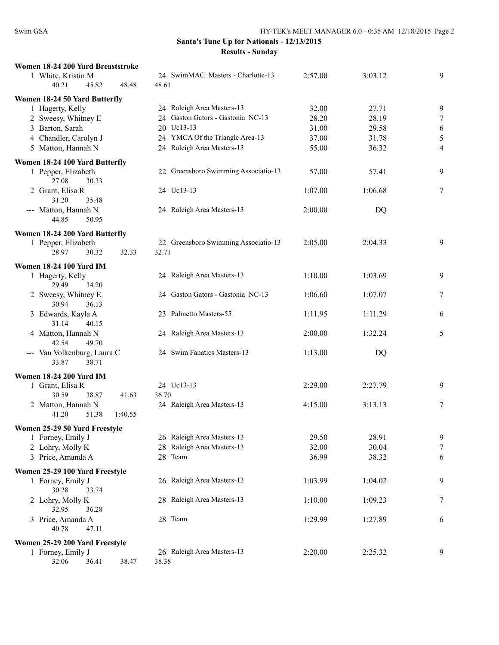| Women 18-24 200 Yard Breaststroke |                                      |         |         |                |
|-----------------------------------|--------------------------------------|---------|---------|----------------|
| 1 White, Kristin M                | 24 SwimMAC Masters - Charlotte-13    | 2:57.00 | 3:03.12 | 9              |
| 40.21<br>45.82<br>48.48           | 48.61                                |         |         |                |
| Women 18-24 50 Yard Butterfly     |                                      |         |         |                |
| 1 Hagerty, Kelly                  | 24 Raleigh Area Masters-13           | 32.00   | 27.71   | 9              |
| 2 Sweesy, Whitney E               | 24 Gaston Gators - Gastonia NC-13    | 28.20   | 28.19   | 7              |
| 3 Barton, Sarah                   | 20 Uc13-13                           | 31.00   | 29.58   |                |
|                                   |                                      |         |         | 6              |
| 4 Chandler, Carolyn J             | 24 YMCA Of the Triangle Area-13      | 37.00   | 31.78   | $\sqrt{5}$     |
| 5 Matton, Hannah N                | 24 Raleigh Area Masters-13           | 55.00   | 36.32   | $\overline{4}$ |
| Women 18-24 100 Yard Butterfly    |                                      |         |         |                |
| 1 Pepper, Elizabeth               | 22 Greensboro Swimming Associatio-13 | 57.00   | 57.41   | 9              |
| 27.08<br>30.33                    |                                      |         |         |                |
| 2 Grant, Elisa R                  | 24 Uc13-13                           | 1:07.00 | 1:06.68 | 7              |
| 31.20<br>35.48                    |                                      |         |         |                |
| --- Matton, Hannah N              | 24 Raleigh Area Masters-13           | 2:00.00 | DQ      |                |
| 44.85<br>50.95                    |                                      |         |         |                |
|                                   |                                      |         |         |                |
| Women 18-24 200 Yard Butterfly    |                                      |         |         |                |
| 1 Pepper, Elizabeth               | 22 Greensboro Swimming Associatio-13 | 2:05.00 | 2:04.33 | 9              |
| 28.97<br>30.32<br>32.33           | 32.71                                |         |         |                |
| <b>Women 18-24 100 Yard IM</b>    |                                      |         |         |                |
| 1 Hagerty, Kelly                  | 24 Raleigh Area Masters-13           | 1:10.00 | 1:03.69 | 9              |
| 29.49<br>34.20                    |                                      |         |         |                |
| 2 Sweesy, Whitney E               | 24 Gaston Gators - Gastonia NC-13    | 1:06.60 | 1:07.07 | 7              |
| 30.94<br>36.13                    |                                      |         |         |                |
| 3 Edwards, Kayla A                | 23 Palmetto Masters-55               | 1:11.95 | 1:11.29 | 6              |
| 40.15                             |                                      |         |         |                |
| 31.14                             |                                      |         |         |                |
| 4 Matton, Hannah N                | 24 Raleigh Area Masters-13           | 2:00.00 | 1:32.24 | 5              |
| 42.54<br>49.70                    |                                      |         |         |                |
| --- Van Volkenburg, Laura C       | 24 Swim Fanatics Masters-13          | 1:13.00 | DQ      |                |
| 33.87<br>38.71                    |                                      |         |         |                |
| <b>Women 18-24 200 Yard IM</b>    |                                      |         |         |                |
| 1 Grant, Elisa R                  | 24 Uc13-13                           | 2:29.00 | 2:27.79 | 9              |
| 30.59<br>38.87<br>41.63           | 36.70                                |         |         |                |
| 2 Matton, Hannah N                | 24 Raleigh Area Masters-13           | 4:15.00 | 3:13.13 | 7              |
| 41.20<br>51.38<br>1:40.55         |                                      |         |         |                |
|                                   |                                      |         |         |                |
| Women 25-29 50 Yard Freestyle     |                                      |         |         |                |
| 1 Forney, Emily J                 | 26 Raleigh Area Masters-13           | 29.50   | 28.91   | 9              |
| 2 Lohry, Molly K                  | 28 Raleigh Area Masters-13           | 32.00   | 30.04   | 7              |
| 3 Price, Amanda A                 | 28 Team                              | 36.99   | 38.32   | 6              |
| Women 25-29 100 Yard Freestyle    |                                      |         |         |                |
| 1 Forney, Emily J                 | 26 Raleigh Area Masters-13           | 1:03.99 | 1:04.02 | 9              |
| 30.28<br>33.74                    |                                      |         |         |                |
| 2 Lohry, Molly K                  | 28 Raleigh Area Masters-13           | 1:10.00 | 1:09.23 | $\tau$         |
| 32.95                             |                                      |         |         |                |
| 36.28                             |                                      |         |         |                |
| 3 Price, Amanda A                 | 28 Team                              | 1:29.99 | 1:27.89 | 6              |
| 40.78<br>47.11                    |                                      |         |         |                |
| Women 25-29 200 Yard Freestyle    |                                      |         |         |                |
| 1 Forney, Emily J                 | 26 Raleigh Area Masters-13           | 2:20.00 | 2:25.32 | 9              |
| 32.06<br>36.41<br>38.47           | 38.38                                |         |         |                |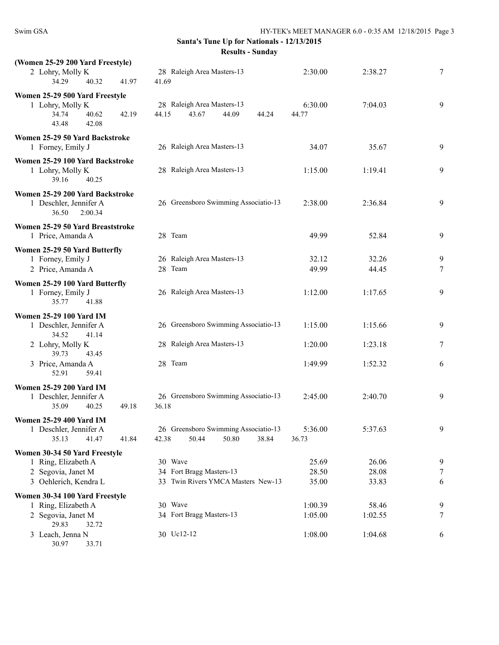| (Women 25-29 200 Yard Freestyle)                                                                |                                                                          |                  |                |        |
|-------------------------------------------------------------------------------------------------|--------------------------------------------------------------------------|------------------|----------------|--------|
| 2 Lohry, Molly K<br>34.29<br>40.32<br>41.97                                                     | 28 Raleigh Area Masters-13<br>41.69                                      | 2:30.00          | 2:38.27        | 7      |
| Women 25-29 500 Yard Freestyle<br>1 Lohry, Molly K<br>34.74<br>40.62<br>42.19<br>43.48<br>42.08 | 28 Raleigh Area Masters-13<br>44.15<br>43.67<br>44.09<br>44.24           | 6:30.00<br>44.77 | 7:04.03        | 9      |
| Women 25-29 50 Yard Backstroke<br>1 Forney, Emily J                                             | 26 Raleigh Area Masters-13                                               | 34.07            | 35.67          | 9      |
| Women 25-29 100 Yard Backstroke<br>1 Lohry, Molly K<br>39.16<br>40.25                           | 28 Raleigh Area Masters-13                                               | 1:15.00          | 1:19.41        | 9      |
| Women 25-29 200 Yard Backstroke<br>1 Deschler, Jennifer A<br>36.50<br>2:00.34                   | 26 Greensboro Swimming Associatio-13                                     | 2:38.00          | 2:36.84        | 9      |
| Women 25-29 50 Yard Breaststroke<br>1 Price, Amanda A                                           | 28 Team                                                                  | 49.99            | 52.84          | 9      |
| Women 25-29 50 Yard Butterfly<br>1 Forney, Emily J<br>2 Price, Amanda A                         | 26 Raleigh Area Masters-13<br>28 Team                                    | 32.12<br>49.99   | 32.26<br>44.45 | 9<br>7 |
| Women 25-29 100 Yard Butterfly<br>1 Forney, Emily J<br>35.77<br>41.88                           | 26 Raleigh Area Masters-13                                               | 1:12.00          | 1:17.65        | 9      |
| <b>Women 25-29 100 Yard IM</b><br>1 Deschler, Jennifer A<br>34.52                               | 26 Greensboro Swimming Associatio-13                                     | 1:15.00          | 1:15.66        | 9      |
| 41.14<br>2 Lohry, Molly K<br>39.73<br>43.45                                                     | 28 Raleigh Area Masters-13                                               | 1:20.00          | 1:23.18        | 7      |
| 3 Price, Amanda A<br>52.91<br>59.41                                                             | 28 Team                                                                  | 1:49.99          | 1:52.32        | 6      |
| <b>Women 25-29 200 Yard IM</b><br>1 Deschler, Jennifer A<br>35.09<br>40.25<br>49.18             | 26 Greensboro Swimming Associatio-13<br>36.18                            | 2:45.00          | 2:40.70        | 9      |
| <b>Women 25-29 400 Yard IM</b><br>1 Deschler, Jennifer A<br>35.13<br>41.47<br>41.84             | 26 Greensboro Swimming Associatio-13<br>50.44<br>50.80<br>38.84<br>42.38 | 5:36.00<br>36.73 | 5:37.63        | 9      |
| Women 30-34 50 Yard Freestyle                                                                   |                                                                          |                  |                |        |
| 1 Ring, Elizabeth A                                                                             | 30 Wave                                                                  | 25.69            | 26.06          | 9      |
| 2 Segovia, Janet M                                                                              | 34 Fort Bragg Masters-13                                                 | 28.50            | 28.08          | 7      |
| 3 Oehlerich, Kendra L                                                                           | 33 Twin Rivers YMCA Masters New-13                                       | 35.00            | 33.83          | 6      |
| Women 30-34 100 Yard Freestyle                                                                  |                                                                          |                  |                |        |
| 1 Ring, Elizabeth A                                                                             | 30 Wave                                                                  | 1:00.39          | 58.46          | 9      |
| 2 Segovia, Janet M<br>29.83<br>32.72                                                            | 34 Fort Bragg Masters-13                                                 | 1:05.00          | 1:02.55        | 7      |
| 3 Leach, Jenna N<br>30.97<br>33.71                                                              | 30 Uc12-12                                                               | 1:08.00          | 1:04.68        | 6      |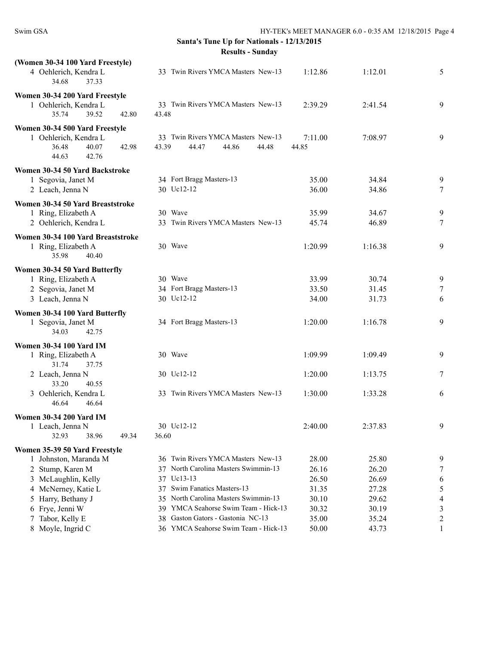| (Women 30-34 100 Yard Freestyle)<br>4 Oehlerich, Kendra L<br>34.68<br>37.33                          | 33 Twin Rivers YMCA Masters New-13                                     | 1:12.86          | 1:12.01 | 5              |
|------------------------------------------------------------------------------------------------------|------------------------------------------------------------------------|------------------|---------|----------------|
| Women 30-34 200 Yard Freestyle<br>1 Oehlerich, Kendra L<br>35.74<br>39.52<br>42.80                   | 33 Twin Rivers YMCA Masters New-13<br>43.48                            | 2:39.29          | 2:41.54 | 9              |
| Women 30-34 500 Yard Freestyle<br>1 Oehlerich, Kendra L<br>40.07<br>36.48<br>42.98<br>44.63<br>42.76 | 33 Twin Rivers YMCA Masters New-13<br>43.39<br>44.47<br>44.86<br>44.48 | 7:11.00<br>44.85 | 7:08.97 | 9              |
| Women 30-34 50 Yard Backstroke                                                                       |                                                                        |                  |         |                |
| 1 Segovia, Janet M                                                                                   | 34 Fort Bragg Masters-13                                               | 35.00            | 34.84   | 9              |
| 2 Leach, Jenna N                                                                                     | 30 Uc12-12                                                             | 36.00            | 34.86   | $\tau$         |
| Women 30-34 50 Yard Breaststroke                                                                     |                                                                        |                  |         |                |
| 1 Ring, Elizabeth A                                                                                  | 30 Wave                                                                | 35.99            | 34.67   | 9              |
| 2 Oehlerich, Kendra L                                                                                | 33 Twin Rivers YMCA Masters New-13                                     | 45.74            | 46.89   | 7              |
| Women 30-34 100 Yard Breaststroke<br>1 Ring, Elizabeth A<br>35.98<br>40.40                           | 30 Wave                                                                | 1:20.99          | 1:16.38 | 9              |
| Women 30-34 50 Yard Butterfly                                                                        |                                                                        |                  |         |                |
| 1 Ring, Elizabeth A                                                                                  | 30 Wave                                                                | 33.99            | 30.74   | 9              |
| 2 Segovia, Janet M                                                                                   | 34 Fort Bragg Masters-13                                               | 33.50            | 31.45   | $\tau$         |
| 3 Leach, Jenna N                                                                                     | 30 Uc12-12                                                             | 34.00            | 31.73   | 6              |
| Women 30-34 100 Yard Butterfly                                                                       |                                                                        |                  |         |                |
| 1 Segovia, Janet M<br>34.03<br>42.75                                                                 | 34 Fort Bragg Masters-13                                               | 1:20.00          | 1:16.78 | 9              |
| <b>Women 30-34 100 Yard IM</b>                                                                       |                                                                        |                  |         |                |
| 1 Ring, Elizabeth A<br>31.74<br>37.75                                                                | 30 Wave                                                                | 1:09.99          | 1:09.49 | 9              |
| 2 Leach, Jenna N<br>33.20<br>40.55                                                                   | 30 Uc12-12                                                             | 1:20.00          | 1:13.75 | 7              |
| 3 Oehlerich, Kendra L<br>46.64<br>46.64                                                              | 33 Twin Rivers YMCA Masters New-13                                     | 1:30.00          | 1:33.28 | 6              |
| <b>Women 30-34 200 Yard IM</b>                                                                       |                                                                        |                  |         |                |
| 1 Leach, Jenna N                                                                                     | 30 Uc12-12                                                             | 2:40.00          | 2:37.83 | 9              |
| 32.93<br>38.96<br>49.34                                                                              | 36.60                                                                  |                  |         |                |
| Women 35-39 50 Yard Freestyle                                                                        |                                                                        |                  |         |                |
| 1 Johnston, Maranda M                                                                                | 36 Twin Rivers YMCA Masters New-13                                     | 28.00            | 25.80   | 9              |
| Stump, Karen M<br>2                                                                                  | 37 North Carolina Masters Swimmin-13                                   | 26.16            | 26.20   | 7              |
| 3 McLaughlin, Kelly                                                                                  | 37 Uc13-13                                                             | 26.50            | 26.69   | 6              |
| 4 McNerney, Katie L                                                                                  | 37 Swim Fanatics Masters-13                                            | 31.35            | 27.28   | 5              |
| Harry, Bethany J<br>5                                                                                | 35 North Carolina Masters Swimmin-13                                   | 30.10            | 29.62   | 4              |
| Frye, Jenni W<br>6                                                                                   | 39 YMCA Seahorse Swim Team - Hick-13                                   | 30.32            | 30.19   | 3              |
| Tabor, Kelly E<br>7                                                                                  | 38 Gaston Gators - Gastonia NC-13                                      | 35.00            | 35.24   | $\overline{c}$ |
| Moyle, Ingrid C<br>8                                                                                 | 36 YMCA Seahorse Swim Team - Hick-13                                   | 50.00            | 43.73   | 1              |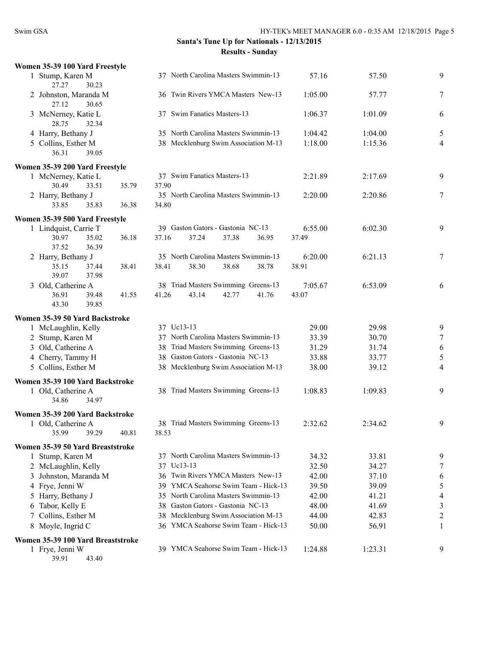| Women 35-39 100 Yard Freestyle                        |       |                                      |                |                |                |
|-------------------------------------------------------|-------|--------------------------------------|----------------|----------------|----------------|
| 1 Stump, Karen M<br>30.23<br>27.27                    |       | 37 North Carolina Masters Swimmin-13 | 57.16          | 57.50          | 9              |
| 2 Johnston, Maranda M<br>27.12<br>30.65               |       | 36 Twin Rivers YMCA Masters New-13   | 1:05.00        | 57.77          | 7              |
| 3 McNerney, Katie L<br>28.75<br>32.34                 |       | 37 Swim Fanatics Masters-13          | 1:06.37        | 1:01.09        | 6              |
| 4 Harry, Bethany J                                    |       | 35 North Carolina Masters Swimmin-13 | 1:04.42        | 1:04.00        | 5              |
| 5 Collins, Esther M                                   |       | 38 Mecklenburg Swim Association M-13 | 1:18.00        | 1:15.36        | 4              |
| 39.05<br>36.31                                        |       |                                      |                |                |                |
| Women 35-39 200 Yard Freestyle                        |       |                                      |                |                |                |
| 1 McNerney, Katie L                                   |       | 37 Swim Fanatics Masters-13          | 2:21.89        | 2:17.69        | 9              |
| 30.49<br>33.51                                        | 35.79 | 37.90                                |                |                |                |
| 2 Harry, Bethany J                                    |       | 35 North Carolina Masters Swimmin-13 | 2:20.00        | 2:20.86        | 7              |
| 33.85<br>35.83                                        | 36.38 | 34.80                                |                |                |                |
| Women 35-39 500 Yard Freestyle                        |       |                                      |                |                |                |
| 1 Lindquist, Carrie T                                 |       | 39 Gaston Gators - Gastonia NC-13    | 6:55.00        | 6:02.30        | 9              |
| 30.97<br>35.02                                        | 36.18 | 37.16<br>37.24<br>37.38<br>36.95     | 37.49          |                |                |
| 37.52<br>36.39                                        |       |                                      |                |                |                |
| 2 Harry, Bethany J                                    |       | 35 North Carolina Masters Swimmin-13 | 6:20.00        | 6:21.13        | $\tau$         |
| 35.15<br>37.44<br>39.07<br>37.98                      | 38.41 | 38.30<br>38.41<br>38.68<br>38.78     | 38.91          |                |                |
| 3 Old, Catherine A                                    |       | 38 Triad Masters Swimming Greens-13  | 7:05.67        | 6:53.09        | 6              |
| 36.91<br>39.48                                        | 41.55 | 43.14<br>41.76<br>41.26<br>42.77     | 43.07          |                |                |
| 39.85<br>43.30                                        |       |                                      |                |                |                |
| Women 35-39 50 Yard Backstroke                        |       |                                      |                |                |                |
| 1 McLaughlin, Kelly                                   |       | 37 Uc13-13                           | 29.00          | 29.98          | 9              |
| 2 Stump, Karen M                                      |       | 37 North Carolina Masters Swimmin-13 | 33.39          | 30.70          | $\tau$         |
| 3 Old, Catherine A                                    |       | 38 Triad Masters Swimming Greens-13  | 31.29          | 31.74          | 6              |
| 4 Cherry, Tammy H                                     |       | 38 Gaston Gators - Gastonia NC-13    | 33.88          | 33.77          | 5              |
| 5 Collins, Esther M                                   |       | 38 Mecklenburg Swim Association M-13 | 38.00          | 39.12          | 4              |
|                                                       |       |                                      |                |                |                |
| Women 35-39 100 Yard Backstroke<br>1 Old, Catherine A |       | 38 Triad Masters Swimming Greens-13  | 1:08.83        | 1:09.83        | 9              |
| 34.86<br>34.97                                        |       |                                      |                |                |                |
|                                                       |       |                                      |                |                |                |
| Women 35-39 200 Yard Backstroke<br>1 Old, Catherine A |       | 38 Triad Masters Swimming Greens-13  | 2:32.62        | 2:34.62        | 9              |
| 35.99<br>39.29                                        | 40.81 | 38.53                                |                |                |                |
|                                                       |       |                                      |                |                |                |
| Women 35-39 50 Yard Breaststroke                      |       | 37 North Carolina Masters Swimmin-13 |                |                |                |
| 1 Stump, Karen M<br>2 McLaughlin, Kelly               |       | 37 Uc13-13                           | 34.32<br>32.50 | 33.81<br>34.27 | 9<br>7         |
| Johnston, Maranda M<br>3                              |       | 36 Twin Rivers YMCA Masters New-13   | 42.00          | 37.10          | 6              |
| 4 Frye, Jenni W                                       |       | 39 YMCA Seahorse Swim Team - Hick-13 | 39.50          | 39.09          | 5              |
| Harry, Bethany J<br>5                                 |       | 35 North Carolina Masters Swimmin-13 | 42.00          | 41.21          | 4              |
| Tabor, Kelly E<br>6                                   |       | 38 Gaston Gators - Gastonia NC-13    | 48.00          | 41.69          | $\mathfrak{Z}$ |
| Collins, Esther M<br>7                                |       | 38 Mecklenburg Swim Association M-13 | 44.00          | 42.83          | 2              |
| Moyle, Ingrid C<br>8                                  |       | 36 YMCA Seahorse Swim Team - Hick-13 | 50.00          | 56.91          | 1              |
|                                                       |       |                                      |                |                |                |
| Women 35-39 100 Yard Breaststroke<br>1 Frye, Jenni W  |       | 39 YMCA Seahorse Swim Team - Hick-13 | 1:24.88        | 1:23.31        | 9              |
| 39.91<br>43.40                                        |       |                                      |                |                |                |
|                                                       |       |                                      |                |                |                |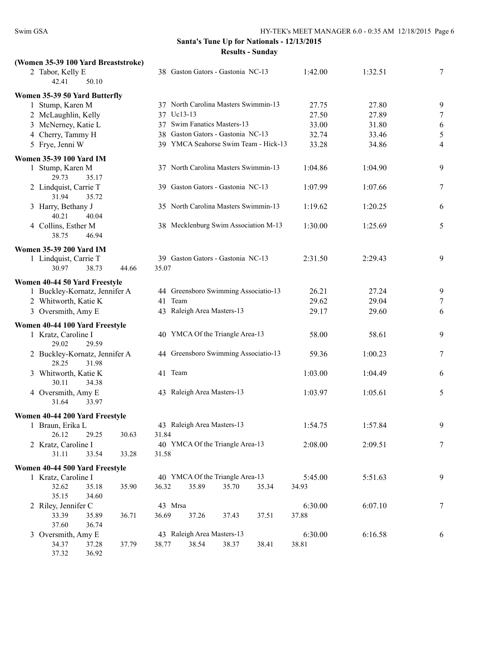| (Women 35-39 100 Yard Breaststroke)             |                                      |         |         |        |
|-------------------------------------------------|--------------------------------------|---------|---------|--------|
| 2 Tabor, Kelly E<br>50.10<br>42.41              | 38 Gaston Gators - Gastonia NC-13    | 1:42.00 | 1:32.51 | 7      |
| Women 35-39 50 Yard Butterfly                   |                                      |         |         |        |
| 1 Stump, Karen M                                | 37 North Carolina Masters Swimmin-13 | 27.75   | 27.80   | 9      |
| 2 McLaughlin, Kelly                             | 37 Uc13-13                           | 27.50   | 27.89   | $\tau$ |
| 3 McNerney, Katie L                             | 37 Swim Fanatics Masters-13          | 33.00   | 31.80   | 6      |
| 4 Cherry, Tammy H                               | 38 Gaston Gators - Gastonia NC-13    | 32.74   | 33.46   | 5      |
| 5 Frye, Jenni W                                 | 39 YMCA Seahorse Swim Team - Hick-13 | 33.28   | 34.86   | 4      |
| Women 35-39 100 Yard IM                         |                                      |         |         |        |
| 1 Stump, Karen M<br>29.73<br>35.17              | 37 North Carolina Masters Swimmin-13 | 1:04.86 | 1:04.90 | 9      |
| 2 Lindquist, Carrie T<br>31.94<br>35.72         | 39 Gaston Gators - Gastonia NC-13    | 1:07.99 | 1:07.66 | 7      |
| 3 Harry, Bethany J<br>40.21<br>40.04            | 35 North Carolina Masters Swimmin-13 | 1:19.62 | 1:20.25 | 6      |
| 4 Collins, Esther M<br>38.75<br>46.94           | 38 Mecklenburg Swim Association M-13 | 1:30.00 | 1:25.69 | 5      |
| <b>Women 35-39 200 Yard IM</b>                  |                                      |         |         |        |
| 1 Lindquist, Carrie T                           | 39 Gaston Gators - Gastonia NC-13    | 2:31.50 | 2:29.43 | 9      |
| 30.97<br>38.73<br>44.66                         | 35.07                                |         |         |        |
| Women 40-44 50 Yard Freestyle                   |                                      |         |         |        |
| 1 Buckley-Kornatz, Jennifer A                   | 44 Greensboro Swimming Associatio-13 | 26.21   | 27.24   | 9      |
| 2 Whitworth, Katie K                            | 41 Team                              | 29.62   | 29.04   | 7      |
| 3 Oversmith, Amy E                              | 43 Raleigh Area Masters-13           | 29.17   | 29.60   | 6      |
| Women 40-44 100 Yard Freestyle                  |                                      |         |         |        |
| 1 Kratz, Caroline I<br>29.02<br>29.59           | 40 YMCA Of the Triangle Area-13      | 58.00   | 58.61   | 9      |
| 2 Buckley-Kornatz, Jennifer A<br>28.25<br>31.98 | 44 Greensboro Swimming Associatio-13 | 59.36   | 1:00.23 | 7      |
| 3 Whitworth, Katie K<br>30.11<br>34.38          | 41 Team                              | 1:03.00 | 1:04.49 | 6      |
| 4 Oversmith, Amy E<br>31.64<br>33.97            | 43 Raleigh Area Masters-13           | 1:03.97 | 1:05.61 | 5      |
| Women 40-44 200 Yard Freestyle                  |                                      |         |         |        |
| 1 Braun, Erika L                                | 43 Raleigh Area Masters-13           | 1:54.75 | 1:57.84 | 9      |
| 26.12<br>29.25<br>30.63                         | 31.84                                |         |         |        |
| 2 Kratz, Caroline I                             | 40 YMCA Of the Triangle Area-13      | 2:08.00 | 2:09.51 | 7      |
| 31.11<br>33.54<br>33.28                         | 31.58                                |         |         |        |
| Women 40-44 500 Yard Freestyle                  |                                      |         |         |        |
| 1 Kratz, Caroline I                             | 40 YMCA Of the Triangle Area-13      | 5:45.00 | 5:51.63 | 9      |
| 32.62<br>35.18<br>35.90                         | 35.89<br>36.32<br>35.70<br>35.34     | 34.93   |         |        |
| 35.15<br>34.60                                  |                                      |         |         |        |
| 2 Riley, Jennifer C                             | 43 Mrsa                              | 6:30.00 | 6:07.10 | $\tau$ |
| 33.39<br>36.71<br>35.89<br>37.60<br>36.74       | 36.69<br>37.26<br>37.51<br>37.43     | 37.88   |         |        |
| 3 Oversmith, Amy E                              | 43 Raleigh Area Masters-13           | 6:30.00 | 6:16.58 | 6      |
| 34.37<br>37.28<br>37.79                         | 38.37<br>38.77<br>38.54<br>38.41     | 38.81   |         |        |
| 37.32<br>36.92                                  |                                      |         |         |        |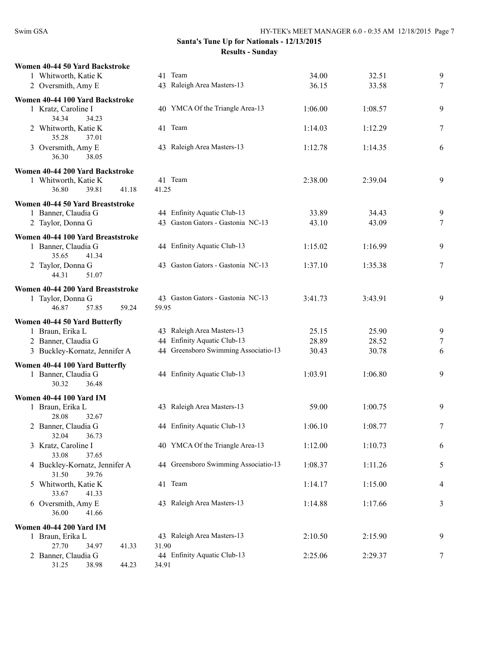| Women 40-44 50 Yard Backstroke         |                                      |         |         |        |
|----------------------------------------|--------------------------------------|---------|---------|--------|
| 1 Whitworth, Katie K                   | 41 Team                              | 34.00   | 32.51   | 9      |
| 2 Oversmith, Amy E                     | 43 Raleigh Area Masters-13           | 36.15   | 33.58   | $\tau$ |
| Women 40-44 100 Yard Backstroke        |                                      |         |         |        |
| 1 Kratz, Caroline I<br>34.34<br>34.23  | 40 YMCA Of the Triangle Area-13      | 1:06.00 | 1:08.57 | 9      |
| 2 Whitworth, Katie K<br>35.28<br>37.01 | 41 Team                              | 1:14.03 | 1:12.29 | 7      |
| 3 Oversmith, Amy E<br>36.30<br>38.05   | 43 Raleigh Area Masters-13           | 1:12.78 | 1:14.35 | 6      |
| Women 40-44 200 Yard Backstroke        |                                      |         |         |        |
| 1 Whitworth, Katie K                   | 41 Team                              | 2:38.00 | 2:39.04 | 9      |
| 36.80<br>39.81<br>41.18                | 41.25                                |         |         |        |
|                                        |                                      |         |         |        |
| Women 40-44 50 Yard Breaststroke       | 44 Enfinity Aquatic Club-13          | 33.89   |         |        |
| 1 Banner, Claudia G                    | 43 Gaston Gators - Gastonia NC-13    | 43.10   | 34.43   | 9      |
| 2 Taylor, Donna G                      |                                      |         | 43.09   | $\tau$ |
| Women 40-44 100 Yard Breaststroke      |                                      |         |         |        |
| 1 Banner, Claudia G                    | 44 Enfinity Aquatic Club-13          | 1:15.02 | 1:16.99 | 9      |
| 35.65<br>41.34                         |                                      |         |         |        |
| 2 Taylor, Donna G                      | 43 Gaston Gators - Gastonia NC-13    | 1:37.10 | 1:35.38 | 7      |
| 44.31<br>51.07                         |                                      |         |         |        |
| Women 40-44 200 Yard Breaststroke      |                                      |         |         |        |
| 1 Taylor, Donna G                      | 43 Gaston Gators - Gastonia NC-13    | 3:41.73 | 3:43.91 | 9      |
| 46.87<br>57.85<br>59.24                | 59.95                                |         |         |        |
|                                        |                                      |         |         |        |
| Women 40-44 50 Yard Butterfly          |                                      |         |         |        |
| 1 Braun, Erika L                       | 43 Raleigh Area Masters-13           | 25.15   | 25.90   | 9      |
| 2 Banner, Claudia G                    | 44 Enfinity Aquatic Club-13          | 28.89   | 28.52   | $\tau$ |
| 3 Buckley-Kornatz, Jennifer A          | 44 Greensboro Swimming Associatio-13 | 30.43   | 30.78   | 6      |
| Women 40-44 100 Yard Butterfly         |                                      |         |         |        |
| 1 Banner, Claudia G                    | 44 Enfinity Aquatic Club-13          | 1:03.91 | 1:06.80 | 9      |
| 30.32<br>36.48                         |                                      |         |         |        |
|                                        |                                      |         |         |        |
| <b>Women 40-44 100 Yard IM</b>         |                                      |         |         |        |
| 1 Braun, Erika L                       | 43 Raleigh Area Masters-13           | 59.00   | 1:00.75 | 9      |
| 28.08<br>32.67                         |                                      |         |         |        |
| 2 Banner, Claudia G                    | 44 Enfinity Aquatic Club-13          | 1:06.10 | 1:08.77 | 7      |
| 32.04<br>36.73                         |                                      |         |         |        |
| 3 Kratz, Caroline I                    | 40 YMCA Of the Triangle Area-13      | 1:12.00 | 1:10.73 | 6      |
| 33.08<br>37.65                         |                                      |         |         |        |
| 4 Buckley-Kornatz, Jennifer A          | 44 Greensboro Swimming Associatio-13 | 1:08.37 | 1:11.26 | 5      |
| 39.76<br>31.50                         |                                      |         |         |        |
| 5 Whitworth, Katie K                   | 41 Team                              | 1:14.17 | 1:15.00 | 4      |
| 33.67<br>41.33                         |                                      |         |         |        |
| 6 Oversmith, Amy E                     | 43 Raleigh Area Masters-13           | 1:14.88 | 1:17.66 | 3      |
| 36.00<br>41.66                         |                                      |         |         |        |
| <b>Women 40-44 200 Yard IM</b>         |                                      |         |         |        |
| 1 Braun, Erika L                       | 43 Raleigh Area Masters-13           | 2:10.50 | 2:15.90 | 9      |
| 27.70<br>34.97<br>41.33                | 31.90                                |         |         |        |
| 2 Banner, Claudia G                    | 44 Enfinity Aquatic Club-13          | 2:25.06 | 2:29.37 | 7      |
| 31.25<br>38.98<br>44.23                | 34.91                                |         |         |        |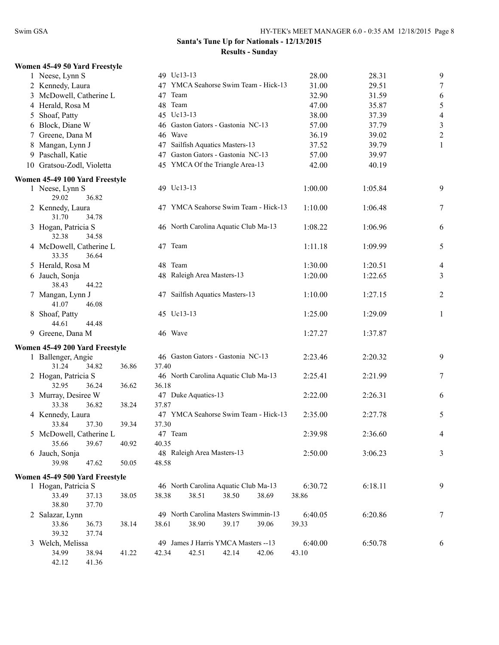|   | Women 45-49 50 Yard Freestyle         |       |         |                                      |       |       |         |         |                  |
|---|---------------------------------------|-------|---------|--------------------------------------|-------|-------|---------|---------|------------------|
|   | 1 Neese, Lynn S                       |       |         | 49 Uc13-13                           |       |       | 28.00   | 28.31   | 9                |
|   | 2 Kennedy, Laura                      |       |         | 47 YMCA Seahorse Swim Team - Hick-13 |       |       | 31.00   | 29.51   | $\boldsymbol{7}$ |
|   | 3 McDowell, Catherine L               |       | 47 Team |                                      |       |       | 32.90   | 31.59   | 6                |
|   | 4 Herald, Rosa M                      |       | 48 Team |                                      |       |       | 47.00   | 35.87   | 5                |
| 5 | Shoaf, Patty                          |       |         | 45 Uc13-13                           |       |       | 38.00   | 37.39   | $\overline{4}$   |
|   | 6 Block, Diane W                      |       |         | 46 Gaston Gators - Gastonia NC-13    |       |       | 57.00   | 37.79   | $\sqrt{3}$       |
|   | 7 Greene, Dana M                      |       | 46 Wave |                                      |       |       | 36.19   | 39.02   | $\overline{2}$   |
|   | 8 Mangan, Lynn J                      |       | 47      | Sailfish Aquatics Masters-13         |       |       | 37.52   | 39.79   | 1                |
|   | 9 Paschall, Katie                     |       | 47      | Gaston Gators - Gastonia NC-13       |       |       | 57.00   | 39.97   |                  |
|   | 10 Gratsou-Zodl, Violetta             |       |         | 45 YMCA Of the Triangle Area-13      |       |       | 42.00   | 40.19   |                  |
|   |                                       |       |         |                                      |       |       |         |         |                  |
|   | Women 45-49 100 Yard Freestyle        |       |         |                                      |       |       |         |         |                  |
|   | 1 Neese, Lynn S                       |       |         | 49 Uc13-13                           |       |       | 1:00.00 | 1:05.84 | 9                |
|   | 29.02<br>36.82                        |       |         | 47 YMCA Seahorse Swim Team - Hick-13 |       |       | 1:10.00 |         | 7                |
|   | 2 Kennedy, Laura<br>31.70<br>34.78    |       |         |                                      |       |       |         | 1:06.48 |                  |
|   |                                       |       |         | 46 North Carolina Aquatic Club Ma-13 |       |       | 1:08.22 |         |                  |
|   | 3 Hogan, Patricia S<br>32.38<br>34.58 |       |         |                                      |       |       |         | 1:06.96 | 6                |
|   |                                       |       | 47 Team |                                      |       |       |         |         |                  |
|   | 4 McDowell, Catherine L               |       |         |                                      |       |       | 1:11.18 | 1:09.99 | 5                |
|   | 33.35<br>36.64                        |       | 48 Team |                                      |       |       |         |         |                  |
|   | 5 Herald, Rosa M                      |       |         |                                      |       |       | 1:30.00 | 1:20.51 | 4                |
|   | 6 Jauch, Sonja<br>38.43<br>44.22      |       |         | 48 Raleigh Area Masters-13           |       |       | 1:20.00 | 1:22.65 | 3                |
|   |                                       |       |         | 47 Sailfish Aquatics Masters-13      |       |       |         | 1:27.15 |                  |
|   | 7 Mangan, Lynn J<br>41.07<br>46.08    |       |         |                                      |       |       | 1:10.00 |         | $\overline{c}$   |
|   | 8 Shoaf, Patty                        |       |         | 45 Uc13-13                           |       |       | 1:25.00 | 1:29.09 | 1                |
|   | 44.61<br>44.48                        |       |         |                                      |       |       |         |         |                  |
|   | 9 Greene, Dana M                      |       | 46 Wave |                                      |       |       | 1:27.27 | 1:37.87 |                  |
|   |                                       |       |         |                                      |       |       |         |         |                  |
|   | Women 45-49 200 Yard Freestyle        |       |         |                                      |       |       |         |         |                  |
|   | 1 Ballenger, Angie                    |       |         | 46 Gaston Gators - Gastonia NC-13    |       |       | 2:23.46 | 2:20.32 | 9                |
|   | 31.24<br>34.82                        | 36.86 | 37.40   |                                      |       |       |         |         |                  |
|   | 2 Hogan, Patricia S                   |       |         | 46 North Carolina Aquatic Club Ma-13 |       |       | 2:25.41 | 2:21.99 | 7                |
|   | 32.95<br>36.24                        | 36.62 | 36.18   |                                      |       |       |         |         |                  |
|   | 3 Murray, Desiree W                   |       |         | 47 Duke Aquatics-13                  |       |       | 2:22.00 | 2:26.31 | 6                |
|   | 33.38<br>36.82                        | 38.24 | 37.87   |                                      |       |       |         |         |                  |
|   | 4 Kennedy, Laura                      |       |         | 47 YMCA Seahorse Swim Team - Hick-13 |       |       | 2:35.00 | 2:27.78 | 5                |
|   | 33.84<br>37.30                        | 39.34 | 37.30   |                                      |       |       |         |         |                  |
|   | 5 McDowell, Catherine L               |       | 47 Team |                                      |       |       | 2:39.98 | 2:36.60 | 4                |
|   | 35.66<br>39.67                        | 40.92 | 40.35   |                                      |       |       |         |         |                  |
|   | 6 Jauch, Sonja                        |       |         | 48 Raleigh Area Masters-13           |       |       | 2:50.00 | 3:06.23 | 3                |
|   | 39.98<br>47.62                        | 50.05 | 48.58   |                                      |       |       |         |         |                  |
|   | Women 45-49 500 Yard Freestyle        |       |         |                                      |       |       |         |         |                  |
|   | 1 Hogan, Patricia S                   |       |         | 46 North Carolina Aquatic Club Ma-13 |       |       | 6:30.72 | 6:18.11 | 9                |
|   | 33.49<br>37.13                        | 38.05 | 38.38   | 38.51                                | 38.50 | 38.69 | 38.86   |         |                  |
|   | 38.80<br>37.70                        |       |         |                                      |       |       |         |         |                  |
|   | 2 Salazar, Lynn                       |       |         | 49 North Carolina Masters Swimmin-13 |       |       | 6:40.05 | 6:20.86 | 7                |
|   | 33.86<br>36.73                        | 38.14 | 38.61   | 38.90                                | 39.17 | 39.06 | 39.33   |         |                  |
|   | 39.32<br>37.74                        |       |         |                                      |       |       |         |         |                  |
|   | 3 Welch, Melissa                      |       |         | 49 James J Harris YMCA Masters --13  |       |       | 6:40.00 | 6:50.78 | 6                |
|   | 34.99<br>38.94                        | 41.22 | 42.34   | 42.51                                | 42.14 | 42.06 | 43.10   |         |                  |
|   | 42.12<br>41.36                        |       |         |                                      |       |       |         |         |                  |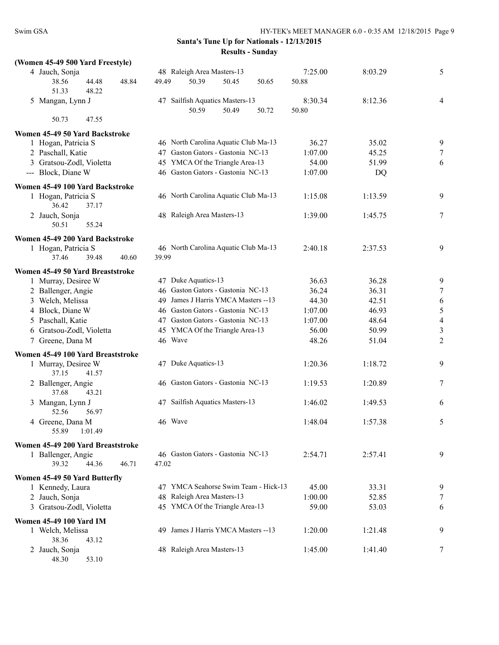| (Women 45-49 500 Yard Freestyle)                                                  |         |                                      |       |       |                  |         |                |
|-----------------------------------------------------------------------------------|---------|--------------------------------------|-------|-------|------------------|---------|----------------|
| 4 Jauch, Sonja<br>44.48<br>38.56<br>48.84                                         | 49.49   | 48 Raleigh Area Masters-13<br>50.39  | 50.45 | 50.65 | 7:25.00<br>50.88 | 8:03.29 | 5              |
| 51.33<br>48.22<br>5 Mangan, Lynn J                                                |         | 47 Sailfish Aquatics Masters-13      |       |       | 8:30.34          | 8:12.36 | $\overline{4}$ |
|                                                                                   |         | 50.59                                | 50.49 | 50.72 | 50.80            |         |                |
| 50.73<br>47.55                                                                    |         |                                      |       |       |                  |         |                |
| Women 45-49 50 Yard Backstroke                                                    |         |                                      |       |       |                  |         |                |
| 1 Hogan, Patricia S                                                               |         | 46 North Carolina Aquatic Club Ma-13 |       |       | 36.27            | 35.02   | 9              |
| 2 Paschall, Katie                                                                 |         | 47 Gaston Gators - Gastonia NC-13    |       |       | 1:07.00          | 45.25   | 7              |
| 3 Gratsou-Zodl, Violetta                                                          |         | 45 YMCA Of the Triangle Area-13      |       |       | 54.00            | 51.99   | 6              |
| --- Block, Diane W                                                                |         | 46 Gaston Gators - Gastonia NC-13    |       |       | 1:07.00          | DQ      |                |
| Women 45-49 100 Yard Backstroke<br>1 Hogan, Patricia S<br>36.42<br>37.17          |         | 46 North Carolina Aquatic Club Ma-13 |       |       | 1:15.08          | 1:13.59 | 9              |
| 2 Jauch, Sonja<br>50.51<br>55.24                                                  |         | 48 Raleigh Area Masters-13           |       |       | 1:39.00          | 1:45.75 | 7              |
|                                                                                   |         |                                      |       |       |                  |         |                |
| Women 45-49 200 Yard Backstroke<br>1 Hogan, Patricia S<br>37.46<br>39.48<br>40.60 | 39.99   | 46 North Carolina Aquatic Club Ma-13 |       |       | 2:40.18          | 2:37.53 | 9              |
| Women 45-49 50 Yard Breaststroke                                                  |         |                                      |       |       |                  |         |                |
| 1 Murray, Desiree W                                                               |         | 47 Duke Aquatics-13                  |       |       | 36.63            | 36.28   | 9              |
| 2 Ballenger, Angie                                                                |         | 46 Gaston Gators - Gastonia NC-13    |       |       | 36.24            | 36.31   | 7              |
| 3 Welch, Melissa                                                                  |         | 49 James J Harris YMCA Masters -- 13 |       |       | 44.30            | 42.51   | 6              |
| 4 Block, Diane W                                                                  |         | 46 Gaston Gators - Gastonia NC-13    |       |       | 1:07.00          | 46.93   | 5              |
| 5 Paschall, Katie                                                                 |         | 47 Gaston Gators - Gastonia NC-13    |       |       | 1:07.00          | 48.64   | $\overline{4}$ |
| 6 Gratsou-Zodl, Violetta                                                          |         | 45 YMCA Of the Triangle Area-13      |       |       | 56.00            | 50.99   | 3              |
| 7 Greene, Dana M                                                                  |         | 46 Wave                              |       |       | 48.26            | 51.04   | $\overline{2}$ |
| Women 45-49 100 Yard Breaststroke                                                 |         |                                      |       |       |                  |         |                |
| 1 Murray, Desiree W<br>37.15<br>41.57                                             |         | 47 Duke Aquatics-13                  |       |       | 1:20.36          | 1:18.72 | 9              |
| 2 Ballenger, Angie<br>43.21<br>37.68                                              |         | 46 Gaston Gators - Gastonia NC-13    |       |       | 1:19.53          | 1:20.89 | 7              |
| 3 Mangan, Lynn J<br>56.97<br>52.56                                                |         | 47 Sailfish Aquatics Masters-13      |       |       | 1:46.02          | 1:49.53 | 6              |
| 4 Greene, Dana M<br>55.89<br>1:01.49                                              | 46 Wave |                                      |       |       | 1:48.04          | 1:57.38 | 5              |
| Women 45-49 200 Yard Breaststroke                                                 |         |                                      |       |       |                  |         |                |
| 1 Ballenger, Angie<br>46.71<br>39.32<br>44.36                                     | 47.02   | 46 Gaston Gators - Gastonia NC-13    |       |       | 2:54.71          | 2:57.41 | 9              |
| Women 45-49 50 Yard Butterfly                                                     |         |                                      |       |       |                  |         |                |
| 1 Kennedy, Laura                                                                  |         | 47 YMCA Seahorse Swim Team - Hick-13 |       |       | 45.00            | 33.31   | 9              |
| 2 Jauch, Sonja                                                                    |         | 48 Raleigh Area Masters-13           |       |       | 1:00.00          | 52.85   | 7              |
| 3 Gratsou-Zodl, Violetta                                                          |         | 45 YMCA Of the Triangle Area-13      |       |       | 59.00            | 53.03   | 6              |
| <b>Women 45-49 100 Yard IM</b>                                                    |         |                                      |       |       |                  |         |                |
| 1 Welch, Melissa<br>38.36<br>43.12                                                |         | 49 James J Harris YMCA Masters -- 13 |       |       | 1:20.00          | 1:21.48 | 9              |
| 2 Jauch, Sonja<br>48.30<br>53.10                                                  |         | 48 Raleigh Area Masters-13           |       |       | 1:45.00          | 1:41.40 | 7              |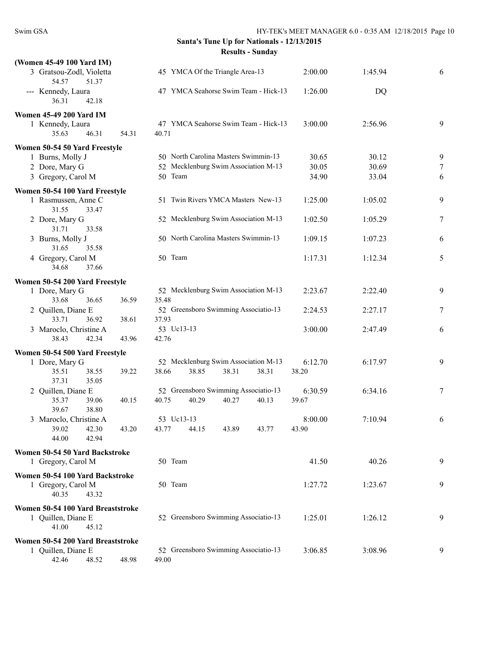| (Women 45-49 100 Yard IM)                               |       |                                      |         |         |                  |
|---------------------------------------------------------|-------|--------------------------------------|---------|---------|------------------|
| 3 Gratsou-Zodl, Violetta<br>54.57<br>51.37              |       | 45 YMCA Of the Triangle Area-13      | 2:00.00 | 1:45.94 | 6                |
| --- Kennedy, Laura<br>36.31<br>42.18                    |       | 47 YMCA Seahorse Swim Team - Hick-13 | 1:26.00 | DQ      |                  |
| <b>Women 45-49 200 Yard IM</b>                          |       |                                      |         |         |                  |
| 1 Kennedy, Laura                                        |       | 47 YMCA Seahorse Swim Team - Hick-13 | 3:00.00 | 2:56.96 | 9                |
| 35.63<br>46.31                                          | 54.31 | 40.71                                |         |         |                  |
|                                                         |       |                                      |         |         |                  |
| Women 50-54 50 Yard Freestyle                           |       | 50 North Carolina Masters Swimmin-13 |         |         |                  |
| 1 Burns, Molly J                                        |       |                                      | 30.65   | 30.12   | 9                |
| 2 Dore, Mary G                                          |       | 52 Mecklenburg Swim Association M-13 | 30.05   | 30.69   | $\boldsymbol{7}$ |
| 3 Gregory, Carol M                                      |       | 50 Team                              | 34.90   | 33.04   | 6                |
| Women 50-54 100 Yard Freestyle                          |       |                                      |         |         |                  |
| 1 Rasmussen, Anne C<br>31.55<br>33.47                   |       | 51 Twin Rivers YMCA Masters New-13   | 1:25.00 | 1:05.02 | 9                |
| 2 Dore, Mary G<br>31.71<br>33.58                        |       | 52 Mecklenburg Swim Association M-13 | 1:02.50 | 1:05.29 | 7                |
| 3 Burns, Molly J<br>31.65<br>35.58                      |       | 50 North Carolina Masters Swimmin-13 | 1:09.15 | 1:07.23 | 6                |
| 4 Gregory, Carol M<br>37.66<br>34.68                    |       | 50 Team                              | 1:17.31 | 1:12.34 | 5                |
|                                                         |       |                                      |         |         |                  |
| Women 50-54 200 Yard Freestyle                          |       |                                      |         |         |                  |
| 1 Dore, Mary G                                          |       | 52 Mecklenburg Swim Association M-13 | 2:23.67 | 2:22.40 | 9                |
| 33.68<br>36.65                                          | 36.59 | 35.48                                |         |         |                  |
| 2 Quillen, Diane E                                      |       | 52 Greensboro Swimming Associatio-13 | 2:24.53 | 2:27.17 | 7                |
| 33.71<br>36.92                                          | 38.61 | 37.93                                |         |         |                  |
| 3 Maroclo, Christine A                                  |       | 53 Uc13-13                           | 3:00.00 | 2:47.49 | 6                |
| 38.43<br>42.34                                          | 43.96 | 42.76                                |         |         |                  |
| Women 50-54 500 Yard Freestyle                          |       |                                      |         |         |                  |
| 1 Dore, Mary G                                          |       | 52 Mecklenburg Swim Association M-13 | 6:12.70 | 6:17.97 | 9                |
| 35.51<br>38.55                                          | 39.22 | 38.85<br>38.31<br>38.31<br>38.66     | 38.20   |         |                  |
| 37.31<br>35.05                                          |       |                                      |         |         |                  |
| 2 Quillen, Diane E                                      |       | 52 Greensboro Swimming Associatio-13 | 6:30.59 | 6:34.16 | 7                |
| 35.37<br>39.06                                          | 40.15 | 40.29<br>40.27<br>40.13<br>40.75     | 39.67   |         |                  |
| 38.80<br>39.67                                          |       |                                      |         |         |                  |
| 3 Maroclo, Christine A                                  |       | 53 Uc13-13                           | 8:00.00 | 7:10.94 | 6                |
| 39.02<br>42.30<br>42.94<br>44.00                        | 43.20 | 43.77<br>44.15<br>43.89<br>43.77     | 43.90   |         |                  |
|                                                         |       |                                      |         |         |                  |
| Women 50-54 50 Yard Backstroke                          |       |                                      |         |         |                  |
| 1 Gregory, Carol M                                      |       | 50 Team                              | 41.50   | 40.26   | 9                |
| Women 50-54 100 Yard Backstroke                         |       |                                      |         |         |                  |
| 1 Gregory, Carol M                                      |       | 50 Team                              | 1:27.72 | 1:23.67 | 9                |
| 40.35<br>43.32                                          |       |                                      |         |         |                  |
|                                                         |       |                                      |         |         |                  |
| Women 50-54 100 Yard Breaststroke<br>1 Quillen, Diane E |       | 52 Greensboro Swimming Associatio-13 | 1:25.01 | 1:26.12 | 9                |
| 41.00<br>45.12                                          |       |                                      |         |         |                  |
|                                                         |       |                                      |         |         |                  |
| Women 50-54 200 Yard Breaststroke                       |       |                                      |         |         |                  |
| 1 Quillen, Diane E                                      |       | 52 Greensboro Swimming Associatio-13 | 3:06.85 | 3:08.96 | 9                |
| 42.46<br>48.52                                          | 48.98 | 49.00                                |         |         |                  |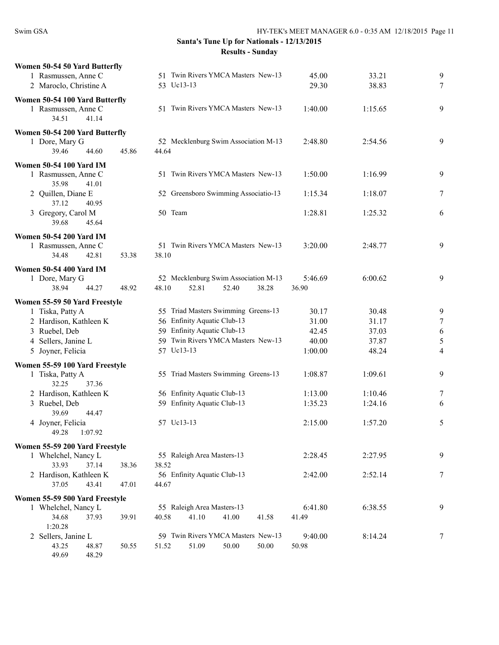| Women 50-54 50 Yard Butterfly  |       |                                      |         |         |   |
|--------------------------------|-------|--------------------------------------|---------|---------|---|
| 1 Rasmussen, Anne C            |       | 51 Twin Rivers YMCA Masters New-13   | 45.00   | 33.21   | 9 |
|                                |       |                                      |         |         |   |
| 2 Maroclo, Christine A         |       | 53 Uc13-13                           | 29.30   | 38.83   | 7 |
| Women 50-54 100 Yard Butterfly |       |                                      |         |         |   |
|                                |       |                                      |         |         |   |
| 1 Rasmussen, Anne C            |       | 51 Twin Rivers YMCA Masters New-13   | 1:40.00 | 1:15.65 | 9 |
| 34.51<br>41.14                 |       |                                      |         |         |   |
|                                |       |                                      |         |         |   |
| Women 50-54 200 Yard Butterfly |       |                                      |         |         |   |
| 1 Dore, Mary G                 |       | 52 Mecklenburg Swim Association M-13 | 2:48.80 | 2:54.56 | 9 |
| 39.46<br>44.60                 | 45.86 | 44.64                                |         |         |   |
| <b>Women 50-54 100 Yard IM</b> |       |                                      |         |         |   |
|                                |       | 51 Twin Rivers YMCA Masters New-13   |         |         |   |
| 1 Rasmussen, Anne C            |       |                                      | 1:50.00 | 1:16.99 | 9 |
| 35.98<br>41.01                 |       |                                      |         |         |   |
| 2 Quillen, Diane E             |       | 52 Greensboro Swimming Associatio-13 | 1:15.34 | 1:18.07 | 7 |
| 37.12<br>40.95                 |       |                                      |         |         |   |
| 3 Gregory, Carol M             |       | 50 Team                              | 1:28.81 | 1:25.32 | 6 |
| 39.68<br>45.64                 |       |                                      |         |         |   |
|                                |       |                                      |         |         |   |
| <b>Women 50-54 200 Yard IM</b> |       |                                      |         |         |   |
| 1 Rasmussen, Anne C            |       | 51 Twin Rivers YMCA Masters New-13   | 3:20.00 | 2:48.77 | 9 |
| 34.48<br>42.81                 | 53.38 | 38.10                                |         |         |   |
|                                |       |                                      |         |         |   |
| <b>Women 50-54 400 Yard IM</b> |       |                                      |         |         |   |
| 1 Dore, Mary G                 |       | 52 Mecklenburg Swim Association M-13 | 5:46.69 | 6:00.62 | 9 |
| 38.94<br>44.27                 | 48.92 | 52.81<br>52.40<br>38.28<br>48.10     | 36.90   |         |   |
|                                |       |                                      |         |         |   |
| Women 55-59 50 Yard Freestyle  |       |                                      |         |         |   |
| 1 Tiska, Patty A               |       | 55 Triad Masters Swimming Greens-13  | 30.17   | 30.48   | 9 |
| 2 Hardison, Kathleen K         |       | 56 Enfinity Aquatic Club-13          | 31.00   | 31.17   | 7 |
| 3 Ruebel, Deb                  |       | 59 Enfinity Aquatic Club-13          | 42.45   | 37.03   | 6 |
|                                |       | 59 Twin Rivers YMCA Masters New-13   | 40.00   | 37.87   | 5 |
| 4 Sellers, Janine L            |       |                                      |         |         |   |
| 5 Joyner, Felicia              |       | 57 Uc13-13                           | 1:00.00 | 48.24   | 4 |
| Women 55-59 100 Yard Freestyle |       |                                      |         |         |   |
| 1 Tiska, Patty A               |       | 55 Triad Masters Swimming Greens-13  | 1:08.87 | 1:09.61 | 9 |
|                                |       |                                      |         |         |   |
| 32.25<br>37.36                 |       |                                      |         |         |   |
| 2 Hardison, Kathleen K         |       | 56 Enfinity Aquatic Club-13          | 1:13.00 | 1:10.46 | 7 |
| 3 Ruebel, Deb                  |       | 59 Enfinity Aquatic Club-13          | 1:35.23 | 1:24.16 | 6 |
| 39.69<br>44.47                 |       |                                      |         |         |   |
| 4 Joyner, Felicia              |       | 57 Uc13-13                           | 2:15.00 | 1:57.20 | 5 |
| 49.28<br>1:07.92               |       |                                      |         |         |   |
|                                |       |                                      |         |         |   |
| Women 55-59 200 Yard Freestyle |       |                                      |         |         |   |
| 1 Whelchel, Nancy L            |       | 55 Raleigh Area Masters-13           | 2:28.45 | 2:27.95 | 9 |
| 33.93<br>37.14                 | 38.36 | 38.52                                |         |         |   |
| 2 Hardison, Kathleen K         |       | 56 Enfinity Aquatic Club-13          | 2:42.00 | 2:52.14 | 7 |
| 37.05                          | 47.01 | 44.67                                |         |         |   |
| 43.41                          |       |                                      |         |         |   |
| Women 55-59 500 Yard Freestyle |       |                                      |         |         |   |
| 1 Whelchel, Nancy L            |       | 55 Raleigh Area Masters-13           | 6:41.80 | 6:38.55 | 9 |
| 37.93<br>34.68                 | 39.91 | 41.10<br>41.00<br>40.58<br>41.58     | 41.49   |         |   |
|                                |       |                                      |         |         |   |
| 1:20.28                        |       |                                      |         |         |   |
| 2 Sellers, Janine L            |       | 59 Twin Rivers YMCA Masters New-13   | 9:40.00 | 8:14.24 | 7 |
| 43.25<br>48.87                 | 50.55 | 51.09<br>50.00<br>50.00<br>51.52     | 50.98   |         |   |
| 49.69<br>48.29                 |       |                                      |         |         |   |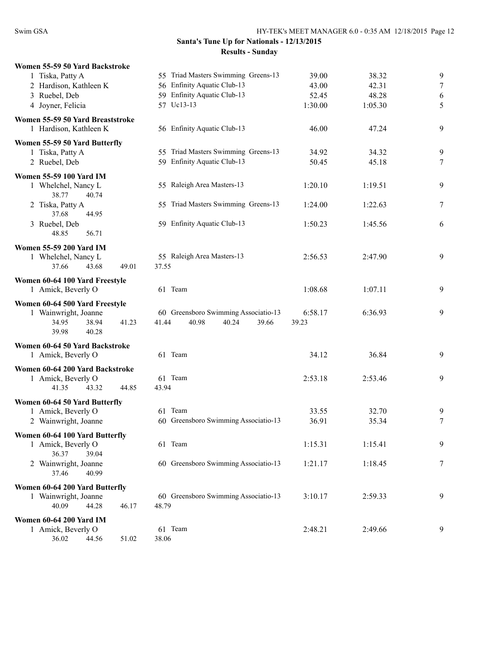| Women 55-59 50 Yard Backstroke                                                                      |                                                                          |                  |         |        |
|-----------------------------------------------------------------------------------------------------|--------------------------------------------------------------------------|------------------|---------|--------|
| 1 Tiska, Patty A                                                                                    | 55 Triad Masters Swimming Greens-13                                      | 39.00            | 38.32   | 9      |
| 2 Hardison, Kathleen K                                                                              | 56 Enfinity Aquatic Club-13                                              | 43.00            | 42.31   | $\tau$ |
| 3 Ruebel, Deb                                                                                       | 59 Enfinity Aquatic Club-13                                              | 52.45            | 48.28   | 6      |
| 4 Joyner, Felicia                                                                                   | 57 Uc13-13                                                               | 1:30.00          | 1:05.30 | 5      |
| Women 55-59 50 Yard Breaststroke                                                                    |                                                                          |                  |         |        |
| 1 Hardison, Kathleen K                                                                              | 56 Enfinity Aquatic Club-13                                              | 46.00            | 47.24   | 9      |
| Women 55-59 50 Yard Butterfly                                                                       |                                                                          |                  |         |        |
| 1 Tiska, Patty A                                                                                    | 55 Triad Masters Swimming Greens-13                                      | 34.92            | 34.32   | 9      |
| 2 Ruebel, Deb                                                                                       | 59 Enfinity Aquatic Club-13                                              | 50.45            | 45.18   | 7      |
| Women 55-59 100 Yard IM                                                                             |                                                                          |                  |         |        |
| 1 Whelchel, Nancy L<br>38.77<br>40.74                                                               | 55 Raleigh Area Masters-13                                               | 1:20.10          | 1:19.51 | 9      |
| 2 Tiska, Patty A<br>37.68<br>44.95                                                                  | 55 Triad Masters Swimming Greens-13                                      | 1:24.00          | 1:22.63 | 7      |
| 3 Ruebel, Deb<br>48.85<br>56.71                                                                     | 59 Enfinity Aquatic Club-13                                              | 1:50.23          | 1:45.56 | 6      |
| <b>Women 55-59 200 Yard IM</b>                                                                      |                                                                          |                  |         |        |
| 1 Whelchel, Nancy L<br>49.01<br>37.66<br>43.68                                                      | 55 Raleigh Area Masters-13<br>37.55                                      | 2:56.53          | 2:47.90 | 9      |
| Women 60-64 100 Yard Freestyle                                                                      |                                                                          |                  |         |        |
| 1 Amick, Beverly O                                                                                  | 61 Team                                                                  | 1:08.68          | 1:07.11 | 9      |
| Women 60-64 500 Yard Freestyle<br>1 Wainwright, Joanne<br>34.95<br>38.94<br>41.23<br>39.98<br>40.28 | 60 Greensboro Swimming Associatio-13<br>40.98<br>40.24<br>41.44<br>39.66 | 6:58.17<br>39.23 | 6:36.93 | 9      |
| Women 60-64 50 Yard Backstroke                                                                      |                                                                          |                  |         |        |
| 1 Amick, Beverly O                                                                                  | 61 Team                                                                  | 34.12            | 36.84   | 9      |
| Women 60-64 200 Yard Backstroke                                                                     |                                                                          |                  |         |        |
| 1 Amick, Beverly O                                                                                  | 61 Team                                                                  | 2:53.18          | 2:53.46 | 9      |
| 41.35<br>43.32<br>44.85                                                                             | 43.94                                                                    |                  |         |        |
| Women 60-64 50 Yard Butterfly                                                                       |                                                                          |                  |         |        |
| 1 Amick, Beverly O                                                                                  | 61 Team                                                                  | 33.55            | 32.70   | 9      |
| 2 Wainwright, Joanne                                                                                | 60 Greensboro Swimming Associatio-13                                     | 36.91            | 35.34   | 7      |
| Women 60-64 100 Yard Butterfly                                                                      |                                                                          |                  |         |        |
| 1 Amick, Beverly O                                                                                  | 61 Team                                                                  | 1:15.31          | 1:15.41 | 9      |
| 36.37<br>39.04<br>2 Wainwright, Joanne<br>37.46<br>40.99                                            | 60 Greensboro Swimming Associatio-13                                     | 1:21.17          | 1:18.45 | 7      |
| Women 60-64 200 Yard Butterfly                                                                      |                                                                          |                  |         |        |
| 1 Wainwright, Joanne                                                                                | 60 Greensboro Swimming Associatio-13                                     | 3:10.17          | 2:59.33 | 9      |
| 40.09<br>44.28<br>46.17                                                                             | 48.79                                                                    |                  |         |        |
| <b>Women 60-64 200 Yard IM</b>                                                                      |                                                                          |                  |         |        |
| 1 Amick, Beverly O                                                                                  | 61 Team                                                                  | 2:48.21          | 2:49.66 | 9      |
| 36.02<br>44.56<br>51.02                                                                             | 38.06                                                                    |                  |         |        |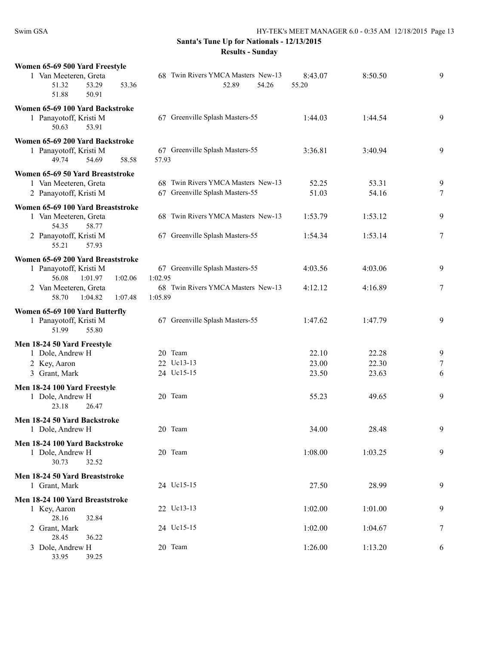| Women 65-69 500 Yard Freestyle<br>1 Van Meeteren, Greta<br>53.29<br>51.32<br>53.36<br>50.91<br>51.88             | 68 Twin Rivers YMCA Masters New-13<br>52.89<br>54.26                             | 8:43.07<br>55.20        | 8:50.50                 | 9           |
|------------------------------------------------------------------------------------------------------------------|----------------------------------------------------------------------------------|-------------------------|-------------------------|-------------|
| Women 65-69 100 Yard Backstroke<br>1 Panayotoff, Kristi M<br>50.63<br>53.91                                      | 67 Greenville Splash Masters-55                                                  | 1:44.03                 | 1:44.54                 | 9           |
| Women 65-69 200 Yard Backstroke<br>1 Panayotoff, Kristi M<br>49.74<br>54.69<br>58.58                             | 67 Greenville Splash Masters-55<br>57.93                                         | 3:36.81                 | 3:40.94                 | 9           |
| Women 65-69 50 Yard Breaststroke<br>1 Van Meeteren, Greta<br>2 Panayotoff, Kristi M                              | 68 Twin Rivers YMCA Masters New-13<br>67 Greenville Splash Masters-55            | 52.25<br>51.03          | 53.31<br>54.16          | 9<br>$\tau$ |
| Women 65-69 100 Yard Breaststroke<br>1 Van Meeteren, Greta<br>54.35<br>58.77                                     | 68 Twin Rivers YMCA Masters New-13                                               | 1:53.79                 | 1:53.12                 | 9           |
| 2 Panayotoff, Kristi M<br>55.21<br>57.93                                                                         | 67 Greenville Splash Masters-55                                                  | 1:54.34                 | 1:53.14                 | 7           |
| Women 65-69 200 Yard Breaststroke<br>1 Panayotoff, Kristi M<br>56.08<br>1:01.97<br>1:02.06                       | 67 Greenville Splash Masters-55<br>1:02.95<br>68 Twin Rivers YMCA Masters New-13 | 4:03.56                 | 4:03.06<br>4:16.89      | 9           |
| 2 Van Meeteren, Greta<br>58.70<br>1:04.82<br>1:07.48                                                             | 1:05.89                                                                          | 4:12.12                 |                         | 7           |
| Women 65-69 100 Yard Butterfly<br>1 Panayotoff, Kristi M<br>51.99<br>55.80                                       | 67 Greenville Splash Masters-55                                                  | 1:47.62                 | 1:47.79                 | 9           |
| Men 18-24 50 Yard Freestyle<br>1 Dole, Andrew H<br>2 Key, Aaron<br>3 Grant, Mark<br>Men 18-24 100 Yard Freestyle | 20 Team<br>22 Uc13-13<br>24 Uc15-15                                              | 22.10<br>23.00<br>23.50 | 22.28<br>22.30<br>23.63 | 9<br>7<br>6 |
| 1 Dole, Andrew H<br>23.18<br>26.47                                                                               | 20 Team                                                                          | 55.23                   | 49.65                   | 9           |
| Men 18-24 50 Yard Backstroke<br>1 Dole, Andrew H                                                                 | 20 Team                                                                          | 34.00                   | 28.48                   | 9           |
| Men 18-24 100 Yard Backstroke<br>1 Dole, Andrew H<br>30.73<br>32.52                                              | 20 Team                                                                          | 1:08.00                 | 1:03.25                 | 9           |
| Men 18-24 50 Yard Breaststroke<br>1 Grant, Mark                                                                  | 24 Uc15-15                                                                       | 27.50                   | 28.99                   | 9           |
| Men 18-24 100 Yard Breaststroke<br>1 Key, Aaron<br>28.16                                                         | 22 Uc13-13                                                                       | 1:02.00                 | 1:01.00                 | 9           |
| 32.84<br>2 Grant, Mark<br>28.45<br>36.22                                                                         | 24 Uc15-15                                                                       | 1:02.00                 | 1:04.67                 | 7           |
| 3 Dole, Andrew H<br>33.95<br>39.25                                                                               | 20 Team                                                                          | 1:26.00                 | 1:13.20                 | 6           |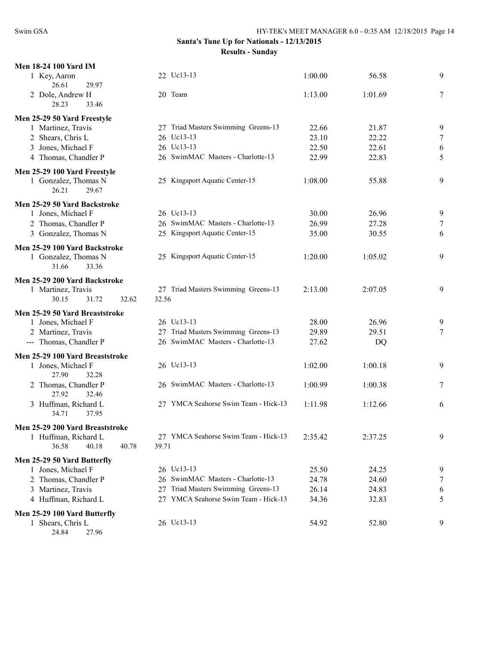| <b>Men 18-24 100 Yard IM</b>                                                   |                                              |         |         |        |
|--------------------------------------------------------------------------------|----------------------------------------------|---------|---------|--------|
| 1 Key, Aaron<br>26.61<br>29.97                                                 | 22 Uc13-13                                   | 1:00.00 | 56.58   | 9      |
| 2 Dole, Andrew H<br>28.23<br>33.46                                             | 20 Team                                      | 1:13.00 | 1:01.69 | 7      |
| Men 25-29 50 Yard Freestyle                                                    |                                              |         |         |        |
| 1 Martinez, Travis                                                             | 27 Triad Masters Swimming Greens-13          | 22.66   | 21.87   | 9      |
| 2 Shears, Chris L                                                              | 26 Uc13-13                                   | 23.10   | 22.22   | $\tau$ |
| 3 Jones, Michael F                                                             | 26 Uc13-13                                   | 22.50   | 22.61   | 6      |
| 4 Thomas, Chandler P                                                           | 26 SwimMAC Masters - Charlotte-13            | 22.99   | 22.83   | 5      |
| Men 25-29 100 Yard Freestyle<br>1 Gonzalez, Thomas N<br>29.67<br>26.21         | 25 Kingsport Aquatic Center-15               | 1:08.00 | 55.88   | 9      |
| Men 25-29 50 Yard Backstroke                                                   |                                              |         |         |        |
| 1 Jones, Michael F                                                             | 26 Uc13-13                                   | 30.00   | 26.96   | 9      |
| 2 Thomas, Chandler P                                                           | 26 SwimMAC Masters - Charlotte-13            | 26.99   | 27.28   | 7      |
| 3 Gonzalez, Thomas N                                                           | 25 Kingsport Aquatic Center-15               | 35.00   | 30.55   | 6      |
| Men 25-29 100 Yard Backstroke<br>1 Gonzalez, Thomas N<br>33.36<br>31.66        | 25 Kingsport Aquatic Center-15               | 1:20.00 | 1:05.02 | 9      |
| Men 25-29 200 Yard Backstroke<br>1 Martinez, Travis<br>30.15<br>31.72<br>32.62 | 27 Triad Masters Swimming Greens-13<br>32.56 | 2:13.00 | 2:07.05 | 9      |
| Men 25-29 50 Yard Breaststroke                                                 |                                              |         |         |        |
| 1 Jones, Michael F                                                             | 26 Uc13-13                                   | 28.00   | 26.96   | 9      |
| 2 Martinez, Travis                                                             | 27 Triad Masters Swimming Greens-13          | 29.89   | 29.51   | $\tau$ |
| --- Thomas, Chandler P                                                         | 26 SwimMAC Masters - Charlotte-13            | 27.62   | DQ      |        |
| Men 25-29 100 Yard Breaststroke                                                |                                              |         |         |        |
| 1 Jones, Michael F                                                             | 26 Uc13-13                                   | 1:02.00 | 1:00.18 | 9      |
| 27.90<br>32.28<br>2 Thomas, Chandler P<br>27.92<br>32.46                       | 26 SwimMAC Masters - Charlotte-13            | 1:00.99 | 1:00.38 | 7      |
| 3 Huffman, Richard L<br>34.71<br>37.95                                         | 27 YMCA Seahorse Swim Team - Hick-13         | 1:11.98 | 1:12.66 | 6      |
| Men 25-29 200 Yard Breaststroke                                                |                                              |         |         |        |
| 1 Huffman, Richard L                                                           | 27 YMCA Seahorse Swim Team - Hick-13         | 2:35.42 | 2:37.25 | 9      |
| 36.58<br>40.78<br>40.18                                                        | 39.71                                        |         |         |        |
| Men 25-29 50 Yard Butterfly                                                    |                                              |         |         |        |
| 1 Jones, Michael F                                                             | 26 Uc13-13                                   | 25.50   | 24.25   | 9      |
| 2 Thomas, Chandler P                                                           | 26 SwimMAC Masters - Charlotte-13            | 24.78   | 24.60   | 7      |
| 3 Martinez, Travis                                                             | Triad Masters Swimming Greens-13<br>27       | 26.14   | 24.83   | 6      |
| 4 Huffman, Richard L                                                           | 27 YMCA Seahorse Swim Team - Hick-13         | 34.36   | 32.83   | 5      |
| Men 25-29 100 Yard Butterfly                                                   |                                              |         |         |        |
| 1 Shears, Chris L                                                              | 26 Uc13-13                                   | 54.92   | 52.80   | 9      |
| 24.84<br>27.96                                                                 |                                              |         |         |        |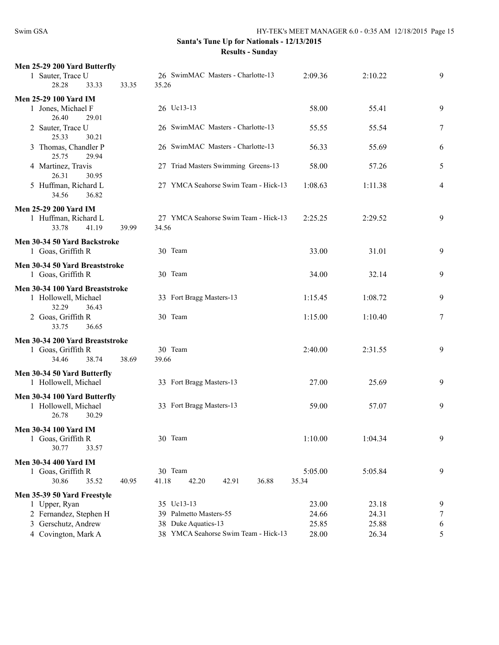| Men 25-29 200 Yard Butterfly                                           |                                                        |         |         |   |
|------------------------------------------------------------------------|--------------------------------------------------------|---------|---------|---|
| 1 Sauter, Trace U<br>28.28<br>33.33                                    | 26 SwimMAC Masters - Charlotte-13<br>33.35<br>35.26    | 2:09.36 | 2:10.22 | 9 |
| <b>Men 25-29 100 Yard IM</b>                                           |                                                        |         |         |   |
| 1 Jones, Michael F<br>26.40<br>29.01                                   | 26 Uc13-13                                             | 58.00   | 55.41   | 9 |
| 2 Sauter, Trace U<br>25.33<br>30.21                                    | 26 SwimMAC Masters - Charlotte-13                      | 55.55   | 55.54   | 7 |
| 3 Thomas, Chandler P<br>25.75<br>29.94                                 | 26 SwimMAC Masters - Charlotte-13                      | 56.33   | 55.69   | 6 |
| 4 Martinez, Travis<br>26.31<br>30.95                                   | 27 Triad Masters Swimming Greens-13                    | 58.00   | 57.26   | 5 |
| 5 Huffman, Richard L<br>34.56<br>36.82                                 | 27 YMCA Seahorse Swim Team - Hick-13                   | 1:08.63 | 1:11.38 | 4 |
| <b>Men 25-29 200 Yard IM</b>                                           |                                                        |         |         |   |
| 1 Huffman, Richard L<br>33.78<br>41.19                                 | 27 YMCA Seahorse Swim Team - Hick-13<br>39.99<br>34.56 | 2:25.25 | 2:29.52 | 9 |
| Men 30-34 50 Yard Backstroke<br>1 Goas, Griffith R                     | 30 Team                                                | 33.00   | 31.01   | 9 |
| Men 30-34 50 Yard Breaststroke<br>1 Goas, Griffith R                   | 30 Team                                                | 34.00   | 32.14   | 9 |
| Men 30-34 100 Yard Breaststroke                                        |                                                        |         |         |   |
| 1 Hollowell, Michael<br>32.29<br>36.43                                 | 33 Fort Bragg Masters-13                               | 1:15.45 | 1:08.72 | 9 |
| 2 Goas, Griffith R<br>36.65<br>33.75                                   | 30 Team                                                | 1:15.00 | 1:10.40 | 7 |
| Men 30-34 200 Yard Breaststroke                                        |                                                        |         |         |   |
| 1 Goas, Griffith R                                                     | 30 Team                                                | 2:40.00 | 2:31.55 | 9 |
| 34.46<br>38.74                                                         | 38.69<br>39.66                                         |         |         |   |
| Men 30-34 50 Yard Butterfly                                            |                                                        |         |         |   |
| 1 Hollowell, Michael                                                   | 33 Fort Bragg Masters-13                               | 27.00   | 25.69   | 9 |
| Men 30-34 100 Yard Butterfly<br>1 Hollowell, Michael<br>26.78<br>30.29 | 33 Fort Bragg Masters-13                               | 59.00   | 57.07   | 9 |
| Men 30-34 100 Yard IM<br>1 Goas, Griffith R<br>30.77<br>33.57          | 30 Team                                                | 1:10.00 | 1:04.34 | 9 |
| Men 30-34 400 Yard IM                                                  |                                                        |         |         |   |
| 1 Goas, Griffith R                                                     | 30 Team                                                | 5:05.00 | 5:05.84 | 9 |
| 30.86<br>35.52                                                         | 40.95<br>41.18<br>42.20<br>42.91<br>36.88              | 35.34   |         |   |
| Men 35-39 50 Yard Freestyle                                            |                                                        |         |         |   |
| 1 Upper, Ryan                                                          | 35 Uc13-13                                             | 23.00   | 23.18   | 9 |
| 2 Fernandez, Stephen H                                                 | 39 Palmetto Masters-55                                 | 24.66   | 24.31   | 7 |
| 3 Gerschutz, Andrew                                                    | 38 Duke Aquatics-13                                    | 25.85   | 25.88   | 6 |
| 4 Covington, Mark A                                                    | 38 YMCA Seahorse Swim Team - Hick-13                   | 28.00   | 26.34   | 5 |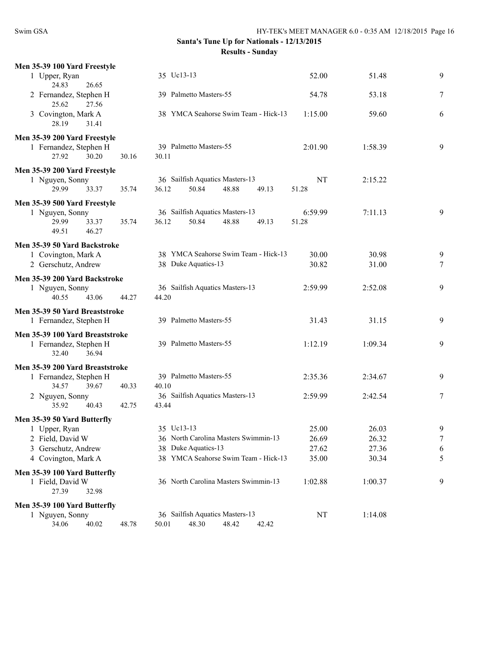| Men 35-39 100 Yard Freestyle             |                                                                              |                  |         |                |
|------------------------------------------|------------------------------------------------------------------------------|------------------|---------|----------------|
| 1 Upper, Ryan                            | 35 Uc13-13                                                                   | 52.00            | 51.48   | 9              |
| 26.65<br>24.83                           |                                                                              |                  |         |                |
| 2 Fernandez, Stephen H<br>25.62<br>27.56 | 39 Palmetto Masters-55                                                       | 54.78            | 53.18   | 7              |
| 3 Covington, Mark A                      | 38 YMCA Seahorse Swim Team - Hick-13                                         | 1:15.00          | 59.60   | 6              |
| 28.19<br>31.41                           |                                                                              |                  |         |                |
| Men 35-39 200 Yard Freestyle             |                                                                              |                  |         |                |
| 1 Fernandez, Stephen H                   | 39 Palmetto Masters-55                                                       | 2:01.90          | 1:58.39 | 9              |
| 30.20<br>27.92                           | 30.16<br>30.11                                                               |                  |         |                |
| Men 35-39 200 Yard Freestyle             |                                                                              |                  |         |                |
| 1 Nguyen, Sonny<br>29.99<br>33.37        | 36 Sailfish Aquatics Masters-13<br>35.74<br>36.12<br>50.84<br>48.88<br>49.13 | NT<br>51.28      | 2:15.22 |                |
|                                          |                                                                              |                  |         |                |
| Men 35-39 500 Yard Freestyle             | 36 Sailfish Aquatics Masters-13                                              |                  | 7:11.13 | 9              |
| 1 Nguyen, Sonny<br>29.99<br>33.37        | 50.84<br>48.88<br>35.74<br>36.12<br>49.13                                    | 6:59.99<br>51.28 |         |                |
| 49.51<br>46.27                           |                                                                              |                  |         |                |
| Men 35-39 50 Yard Backstroke             |                                                                              |                  |         |                |
| 1 Covington, Mark A                      | 38 YMCA Seahorse Swim Team - Hick-13                                         | 30.00            | 30.98   | 9              |
| 2 Gerschutz, Andrew                      | 38 Duke Aquatics-13                                                          | 30.82            | 31.00   | 7              |
| Men 35-39 200 Yard Backstroke            |                                                                              |                  |         |                |
| 1 Nguyen, Sonny                          | 36 Sailfish Aquatics Masters-13                                              | 2:59.99          | 2:52.08 | 9              |
| 40.55<br>43.06                           | 44.27<br>44.20                                                               |                  |         |                |
| Men 35-39 50 Yard Breaststroke           |                                                                              |                  |         |                |
| 1 Fernandez, Stephen H                   | 39 Palmetto Masters-55                                                       | 31.43            | 31.15   | 9              |
| Men 35-39 100 Yard Breaststroke          |                                                                              |                  |         |                |
| 1 Fernandez, Stephen H                   | 39 Palmetto Masters-55                                                       | 1:12.19          | 1:09.34 | 9              |
| 36.94<br>32.40                           |                                                                              |                  |         |                |
| Men 35-39 200 Yard Breaststroke          |                                                                              |                  |         |                |
| 1 Fernandez, Stephen H<br>34.57<br>39.67 | 39 Palmetto Masters-55<br>40.10<br>40.33                                     | 2:35.36          | 2:34.67 | 9              |
| 2 Nguyen, Sonny                          | 36 Sailfish Aquatics Masters-13                                              | 2:59.99          | 2:42.54 | $\overline{7}$ |
| 35.92<br>40.43                           | 42.75<br>43.44                                                               |                  |         |                |
| Men 35-39 50 Yard Butterfly              |                                                                              |                  |         |                |
| 1 Upper, Ryan                            | 35 Uc13-13                                                                   | 25.00            | 26.03   | 9              |
| 2 Field, David W                         | 36 North Carolina Masters Swimmin-13                                         | 26.69            | 26.32   | $\overline{7}$ |
| 3 Gerschutz, Andrew                      | 38 Duke Aquatics-13                                                          | 27.62            | 27.36   | 6              |
| 4 Covington, Mark A                      | 38 YMCA Seahorse Swim Team - Hick-13                                         | 35.00            | 30.34   | 5              |
| Men 35-39 100 Yard Butterfly             |                                                                              |                  |         |                |
| 1 Field, David W                         | 36 North Carolina Masters Swimmin-13                                         | 1:02.88          | 1:00.37 | 9              |
| 27.39<br>32.98                           |                                                                              |                  |         |                |
| Men 35-39 100 Yard Butterfly             |                                                                              |                  |         |                |
| 1 Nguyen, Sonny<br>34.06                 | 36 Sailfish Aquatics Masters-13<br>50.01<br>48.30<br>48.42<br>42.42          | NT               | 1:14.08 |                |
| 40.02                                    | 48.78                                                                        |                  |         |                |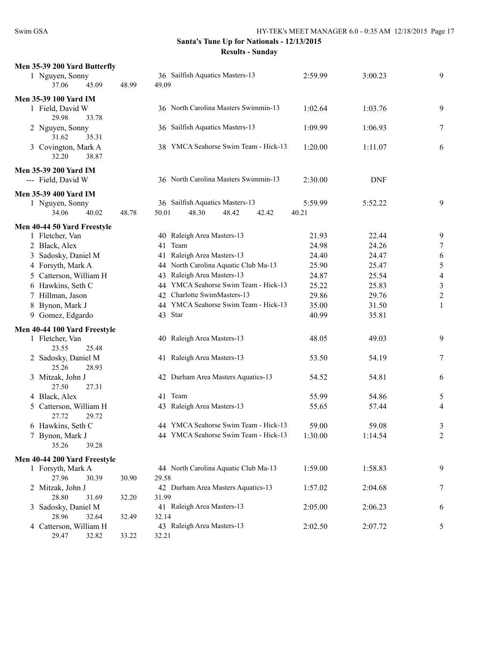| Men 35-39 200 Yard Butterfly                   |       |                                      |         |            |                          |
|------------------------------------------------|-------|--------------------------------------|---------|------------|--------------------------|
| 1 Nguyen, Sonny                                |       | 36 Sailfish Aquatics Masters-13      | 2:59.99 | 3:00.23    | 9                        |
| 37.06<br>45.09                                 | 48.99 | 49.09                                |         |            |                          |
| <b>Men 35-39 100 Yard IM</b>                   |       |                                      |         |            |                          |
| 1 Field, David W                               |       | 36 North Carolina Masters Swimmin-13 | 1:02.64 | 1:03.76    | 9                        |
| 29.98<br>33.78                                 |       |                                      |         |            |                          |
| 2 Nguyen, Sonny                                |       | 36 Sailfish Aquatics Masters-13      | 1:09.99 | 1:06.93    | 7                        |
| 31.62<br>35.31                                 |       |                                      |         |            |                          |
| 3 Covington, Mark A                            |       | 38 YMCA Seahorse Swim Team - Hick-13 | 1:20.00 | 1:11.07    | 6                        |
| 32.20<br>38.87                                 |       |                                      |         |            |                          |
| <b>Men 35-39 200 Yard IM</b>                   |       |                                      |         |            |                          |
| --- Field, David W                             |       | 36 North Carolina Masters Swimmin-13 | 2:30.00 | <b>DNF</b> |                          |
| Men 35-39 400 Yard IM                          |       |                                      |         |            |                          |
| 1 Nguyen, Sonny                                |       | 36 Sailfish Aquatics Masters-13      | 5:59.99 | 5:52.22    | 9                        |
| 34.06<br>40.02                                 | 48.78 | 50.01<br>48.30<br>48.42<br>42.42     | 40.21   |            |                          |
|                                                |       |                                      |         |            |                          |
| Men 40-44 50 Yard Freestyle<br>1 Fletcher, Van |       | 40 Raleigh Area Masters-13           | 21.93   | 22.44      | 9                        |
| 2 Black, Alex                                  |       | Team<br>41                           | 24.98   | 24.26      | 7                        |
| 3 Sadosky, Daniel M                            |       | Raleigh Area Masters-13<br>41        | 24.40   | 24.47      | 6                        |
| 4 Forsyth, Mark A                              |       | 44 North Carolina Aquatic Club Ma-13 | 25.90   | 25.47      | 5                        |
| 5 Catterson, William H                         |       | 43 Raleigh Area Masters-13           | 24.87   | 25.54      | $\overline{\mathcal{A}}$ |
| 6 Hawkins, Seth C                              |       | 44 YMCA Seahorse Swim Team - Hick-13 | 25.22   | 25.83      | $\mathfrak{Z}$           |
| 7 Hillman, Jason                               |       | 42 Charlotte SwimMasters-13          | 29.86   | 29.76      | $\overline{c}$           |
| 8 Bynon, Mark J                                |       | 44 YMCA Seahorse Swim Team - Hick-13 | 35.00   | 31.50      | 1                        |
| 9 Gomez, Edgardo                               |       | 43 Star                              | 40.99   | 35.81      |                          |
|                                                |       |                                      |         |            |                          |
| Men 40-44 100 Yard Freestyle                   |       | 40 Raleigh Area Masters-13           |         |            |                          |
| 1 Fletcher, Van<br>23.55<br>25.48              |       |                                      | 48.05   | 49.03      | 9                        |
| 2 Sadosky, Daniel M                            |       | 41 Raleigh Area Masters-13           | 53.50   | 54.19      | 7                        |
| 25.26<br>28.93                                 |       |                                      |         |            |                          |
| 3 Mitzak, John J                               |       | 42 Durham Area Masters Aquatics-13   | 54.52   | 54.81      | 6                        |
| 27.50<br>27.31                                 |       |                                      |         |            |                          |
| 4 Black, Alex                                  |       | 41 Team                              | 55.99   | 54.86      | 5                        |
| Catterson, William H<br>5                      |       | 43 Raleigh Area Masters-13           | 55.65   | 57.44      | 4                        |
| 27.72<br>29.72                                 |       |                                      |         |            |                          |
| 6 Hawkins, Seth C                              |       | 44 YMCA Seahorse Swim Team - Hick-13 | 59.00   | 59.08      | 3                        |
| 7 Bynon, Mark J                                |       | 44 YMCA Seahorse Swim Team - Hick-13 | 1:30.00 | 1:14.54    | $\overline{c}$           |
| 35.26<br>39.28                                 |       |                                      |         |            |                          |
| Men 40-44 200 Yard Freestyle                   |       |                                      |         |            |                          |
| 1 Forsyth, Mark A                              |       | 44 North Carolina Aquatic Club Ma-13 | 1:59.00 | 1:58.83    | 9                        |
| 27.96<br>30.39                                 | 30.90 | 29.58                                |         |            |                          |
| 2 Mitzak, John J                               |       | 42 Durham Area Masters Aquatics-13   | 1:57.02 | 2:04.68    | 7                        |
| 28.80<br>31.69                                 | 32.20 | 31.99                                |         |            |                          |
| 3 Sadosky, Daniel M                            |       | 41 Raleigh Area Masters-13           | 2:05.00 | 2:06.23    | 6                        |
| 28.96<br>32.64                                 | 32.49 | 32.14                                |         |            |                          |
| 4 Catterson, William H                         |       | 43 Raleigh Area Masters-13           | 2:02.50 | 2:07.72    | 5                        |
| 29.47<br>32.82                                 | 33.22 | 32.21                                |         |            |                          |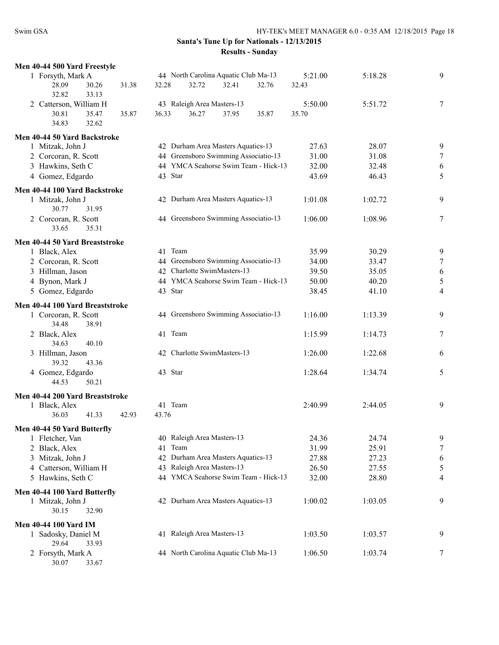| Men 40-44 500 Yard Freestyle    |                                      |         |         |   |
|---------------------------------|--------------------------------------|---------|---------|---|
| 1 Forsyth, Mark A               | 44 North Carolina Aquatic Club Ma-13 | 5:21.00 | 5:18.28 | 9 |
| 28.09<br>30.26<br>31.38         | 32.28<br>32.72<br>32.41<br>32.76     | 32.43   |         |   |
| 32.82<br>33.13                  |                                      |         |         |   |
| 2 Catterson, William H          | 43 Raleigh Area Masters-13           | 5:50.00 | 5:51.72 | 7 |
| 30.81<br>35.47<br>35.87         | 36.27<br>37.95<br>36.33<br>35.87     | 35.70   |         |   |
| 32.62<br>34.83                  |                                      |         |         |   |
|                                 |                                      |         |         |   |
| Men 40-44 50 Yard Backstroke    |                                      |         |         |   |
| 1 Mitzak, John J                | 42 Durham Area Masters Aquatics-13   | 27.63   | 28.07   | 9 |
| 2 Corcoran, R. Scott            | 44 Greensboro Swimming Associatio-13 | 31.00   | 31.08   | 7 |
| 3 Hawkins, Seth C               | 44 YMCA Seahorse Swim Team - Hick-13 | 32.00   | 32.48   | 6 |
| 4 Gomez, Edgardo                | 43 Star                              | 43.69   | 46.43   | 5 |
|                                 |                                      |         |         |   |
| Men 40-44 100 Yard Backstroke   |                                      |         |         |   |
| 1 Mitzak, John J                | 42 Durham Area Masters Aquatics-13   | 1:01.08 | 1:02.72 | 9 |
| 30.77<br>31.95                  |                                      |         |         |   |
| 2 Corcoran, R. Scott            | 44 Greensboro Swimming Associatio-13 | 1:06.00 | 1:08.96 | 7 |
| 33.65<br>35.31                  |                                      |         |         |   |
| Men 40-44 50 Yard Breaststroke  |                                      |         |         |   |
| 1 Black, Alex                   | 41 Team                              | 35.99   | 30.29   | 9 |
| 2 Corcoran, R. Scott            | 44 Greensboro Swimming Associatio-13 | 34.00   | 33.47   | 7 |
|                                 | 42 Charlotte SwimMasters-13          |         |         |   |
| 3 Hillman, Jason                |                                      | 39.50   | 35.05   | 6 |
| 4 Bynon, Mark J                 | 44 YMCA Seahorse Swim Team - Hick-13 | 50.00   | 40.20   | 5 |
| 5 Gomez, Edgardo                | 43 Star                              | 38.45   | 41.10   | 4 |
| Men 40-44 100 Yard Breaststroke |                                      |         |         |   |
| 1 Corcoran, R. Scott            | 44 Greensboro Swimming Associatio-13 | 1:16.00 | 1:13.39 | 9 |
| 34.48<br>38.91                  |                                      |         |         |   |
| 2 Black, Alex                   | 41 Team                              | 1:15.99 | 1:14.73 | 7 |
| 40.10<br>34.63                  |                                      |         |         |   |
|                                 |                                      |         |         |   |
| 3 Hillman, Jason                | 42 Charlotte SwimMasters-13          | 1:26.00 | 1:22.68 | 6 |
| 39.32<br>43.36                  |                                      |         |         |   |
| 4 Gomez, Edgardo                | 43 Star                              | 1:28.64 | 1:34.74 | 5 |
| 44.53<br>50.21                  |                                      |         |         |   |
| Men 40-44 200 Yard Breaststroke |                                      |         |         |   |
| 1 Black, Alex                   | 41 Team                              | 2:40.99 | 2:44.05 | 9 |
| 41.33<br>36.03<br>42.93         | 43.76                                |         |         |   |
|                                 |                                      |         |         |   |
| Men 40-44 50 Yard Butterfly     |                                      |         |         |   |
| 1 Fletcher, Van                 | 40 Raleigh Area Masters-13           | 24.36   | 24.74   | 9 |
| 2 Black, Alex                   | 41 Team                              | 31.99   | 25.91   | 7 |
| 3 Mitzak, John J                | 42 Durham Area Masters Aquatics-13   | 27.88   | 27.23   | 6 |
| 4 Catterson, William H          | 43 Raleigh Area Masters-13           | 26.50   | 27.55   | 5 |
| 5 Hawkins, Seth C               | 44 YMCA Seahorse Swim Team - Hick-13 | 32.00   | 28.80   | 4 |
| Men 40-44 100 Yard Butterfly    |                                      |         |         |   |
| 1 Mitzak, John J                | 42 Durham Area Masters Aquatics-13   | 1:00.02 | 1:03.05 | 9 |
|                                 |                                      |         |         |   |
| 30.15<br>32.90                  |                                      |         |         |   |
| <b>Men 40-44 100 Yard IM</b>    |                                      |         |         |   |
| 1 Sadosky, Daniel M             | 41 Raleigh Area Masters-13           | 1:03.50 | 1:03.57 | 9 |
| 29.64<br>33.93                  |                                      |         |         |   |
| 2 Forsyth, Mark A               | 44 North Carolina Aquatic Club Ma-13 | 1:06.50 | 1:03.74 | 7 |
| 30.07<br>33.67                  |                                      |         |         |   |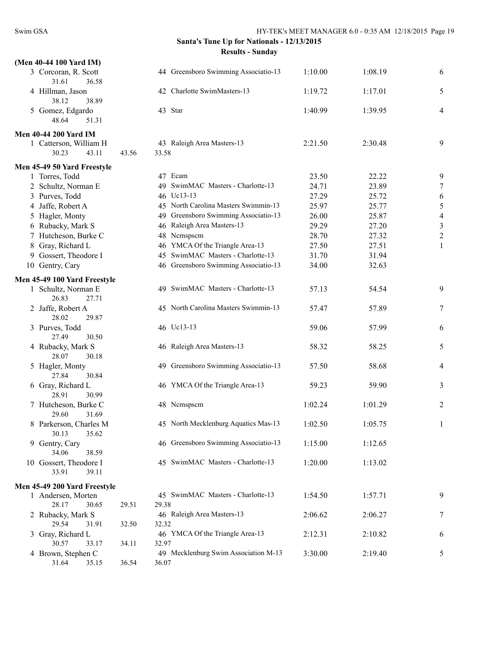| (Men 40-44 100 Yard IM)                  |       |                                               |         |         |                  |
|------------------------------------------|-------|-----------------------------------------------|---------|---------|------------------|
| 3 Corcoran, R. Scott<br>31.61<br>36.58   |       | 44 Greensboro Swimming Associatio-13          | 1:10.00 | 1:08.19 | 6                |
| 4 Hillman, Jason<br>38.12<br>38.89       |       | 42 Charlotte SwimMasters-13                   | 1:19.72 | 1:17.01 | 5                |
| 5 Gomez, Edgardo<br>48.64<br>51.31       |       | 43 Star                                       | 1:40.99 | 1:39.95 | 4                |
| <b>Men 40-44 200 Yard IM</b>             |       |                                               |         |         |                  |
| 1 Catterson, William H                   |       | 43 Raleigh Area Masters-13                    | 2:21.50 | 2:30.48 | 9                |
| 30.23<br>43.11                           | 43.56 | 33.58                                         |         |         |                  |
| Men 45-49 50 Yard Freestyle              |       |                                               |         |         |                  |
| 1 Torres, Todd                           |       | 47 Ecam                                       | 23.50   | 22.22   | 9                |
| 2 Schultz, Norman E                      |       | 49 SwimMAC Masters - Charlotte-13             | 24.71   | 23.89   | $\boldsymbol{7}$ |
| 3 Purves, Todd                           |       | 46 Uc13-13                                    | 27.29   | 25.72   | 6                |
| 4 Jaffe, Robert A                        |       | 45 North Carolina Masters Swimmin-13          | 25.97   | 25.77   | $\sqrt{5}$       |
| 5 Hagler, Monty                          |       | 49 Greensboro Swimming Associatio-13          | 26.00   | 25.87   | $\overline{4}$   |
| 6 Rubacky, Mark S                        |       | 46 Raleigh Area Masters-13                    | 29.29   | 27.20   | $\sqrt{3}$       |
| 7 Hutcheson, Burke C                     |       | 48 Nemspsem                                   | 28.70   | 27.32   | $\overline{c}$   |
| Gray, Richard L<br>8                     |       | 46 YMCA Of the Triangle Area-13               | 27.50   | 27.51   | $\mathbf{1}$     |
| 9 Gossert, Theodore I                    |       | 45 SwimMAC Masters - Charlotte-13             | 31.70   | 31.94   |                  |
| 10 Gentry, Cary                          |       | 46 Greensboro Swimming Associatio-13          | 34.00   | 32.63   |                  |
| Men 45-49 100 Yard Freestyle             |       |                                               |         |         |                  |
| 1 Schultz, Norman E<br>26.83<br>27.71    |       | 49 SwimMAC Masters - Charlotte-13             | 57.13   | 54.54   | 9                |
| 2 Jaffe, Robert A<br>28.02<br>29.87      |       | 45 North Carolina Masters Swimmin-13          | 57.47   | 57.89   | 7                |
| 3 Purves, Todd<br>27.49<br>30.50         |       | 46 Uc13-13                                    | 59.06   | 57.99   | 6                |
| 4 Rubacky, Mark S<br>28.07<br>30.18      |       | 46 Raleigh Area Masters-13                    | 58.32   | 58.25   | 5                |
| 5 Hagler, Monty<br>27.84<br>30.84        |       | 49 Greensboro Swimming Associatio-13          | 57.50   | 58.68   | 4                |
| 6 Gray, Richard L<br>28.91<br>30.99      |       | 46 YMCA Of the Triangle Area-13               | 59.23   | 59.90   | 3                |
| 7 Hutcheson, Burke C<br>29.60<br>31.69   |       | 48 Nemspsem                                   | 1:02.24 | 1:01.29 | 2                |
| 8 Parkerson, Charles M<br>30.13<br>35.62 |       | 45 North Mecklenburg Aquatics Mas-13          | 1:02.50 | 1:05.75 | 1                |
| 9 Gentry, Cary<br>38.59<br>34.06         |       | 46 Greensboro Swimming Associatio-13          | 1:15.00 | 1:12.65 |                  |
| 10 Gossert, Theodore I<br>33.91<br>39.11 |       | 45 SwimMAC Masters - Charlotte-13             | 1:20.00 | 1:13.02 |                  |
| Men 45-49 200 Yard Freestyle             |       |                                               |         |         |                  |
| 1 Andersen, Morten                       |       | 45 SwimMAC Masters - Charlotte-13             | 1:54.50 | 1:57.71 | 9                |
| 28.17<br>30.65                           | 29.51 | 29.38                                         |         |         |                  |
| 2 Rubacky, Mark S                        |       | 46 Raleigh Area Masters-13                    | 2:06.62 | 2:06.27 | 7                |
| 29.54<br>31.91                           | 32.50 | 32.32                                         |         |         |                  |
| 3 Gray, Richard L                        |       | 46 YMCA Of the Triangle Area-13               | 2:12.31 | 2:10.82 | 6                |
| 30.57<br>33.17                           | 34.11 | 32.97                                         |         |         |                  |
| 4 Brown, Stephen C<br>31.64<br>35.15     | 36.54 | 49 Mecklenburg Swim Association M-13<br>36.07 | 3:30.00 | 2:19.40 | 5                |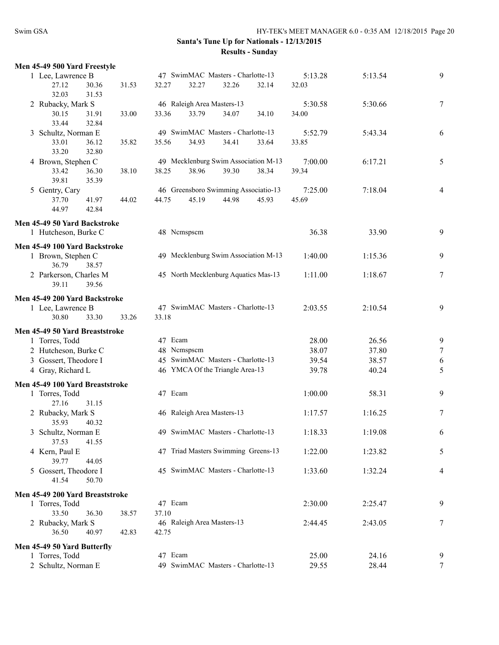|   | Men 45-49 500 Yard Freestyle    |                         |         |                            |                                      |       |         |         |                |
|---|---------------------------------|-------------------------|---------|----------------------------|--------------------------------------|-------|---------|---------|----------------|
|   | 1 Lee, Lawrence B               |                         |         |                            | 47 SwimMAC Masters - Charlotte-13    |       | 5:13.28 | 5:13.54 | 9              |
|   | 27.12<br>32.03                  | 30.36<br>31.53<br>31.53 | 32.27   | 32.27                      | 32.26                                | 32.14 | 32.03   |         |                |
|   | 2 Rubacky, Mark S               |                         |         | 46 Raleigh Area Masters-13 |                                      |       | 5:30.58 | 5:30.66 | 7              |
|   | 30.15<br>33.44                  | 31.91<br>33.00<br>32.84 | 33.36   | 33.79                      | 34.07                                | 34.10 | 34.00   |         |                |
|   | 3 Schultz, Norman E             |                         |         |                            | 49 SwimMAC Masters - Charlotte-13    |       | 5:52.79 | 5:43.34 | 6              |
|   | 33.01                           | 36.12<br>35.82          | 35.56   | 34.93                      | 34.41                                | 33.64 | 33.85   |         |                |
|   | 33.20                           | 32.80                   |         |                            |                                      |       |         |         |                |
|   | 4 Brown, Stephen C              |                         |         |                            | 49 Mecklenburg Swim Association M-13 |       | 7:00.00 | 6:17.21 | 5              |
|   | 33.42                           | 36.30<br>38.10          | 38.25   | 38.96                      | 39.30                                | 38.34 | 39.34   |         |                |
|   | 39.81                           | 35.39                   |         |                            |                                      |       |         |         |                |
|   | 5 Gentry, Cary                  |                         |         |                            | 46 Greensboro Swimming Associatio-13 |       | 7:25.00 | 7:18.04 | $\overline{4}$ |
|   | 37.70                           | 41.97<br>44.02          | 44.75   | 45.19                      | 44.98                                | 45.93 | 45.69   |         |                |
|   | 44.97                           | 42.84                   |         |                            |                                      |       |         |         |                |
|   | Men 45-49 50 Yard Backstroke    |                         |         |                            |                                      |       |         |         |                |
|   | 1 Hutcheson, Burke C            |                         |         | 48 Nemspsem                |                                      |       | 36.38   | 33.90   | 9              |
|   | Men 45-49 100 Yard Backstroke   |                         |         |                            |                                      |       |         |         |                |
|   | 1 Brown, Stephen C              |                         |         |                            | 49 Mecklenburg Swim Association M-13 |       | 1:40.00 | 1:15.36 | 9              |
|   | 36.79                           | 38.57                   |         |                            |                                      |       |         |         |                |
|   | 2 Parkerson, Charles M          |                         |         |                            | 45 North Mecklenburg Aquatics Mas-13 |       | 1:11.00 | 1:18.67 | 7              |
|   | 39.11                           | 39.56                   |         |                            |                                      |       |         |         |                |
|   | Men 45-49 200 Yard Backstroke   |                         |         |                            |                                      |       |         |         |                |
|   | 1 Lee, Lawrence B               |                         |         |                            | 47 SwimMAC Masters - Charlotte-13    |       | 2:03.55 | 2:10.54 | 9              |
|   | 30.80                           | 33.30<br>33.26          | 33.18   |                            |                                      |       |         |         |                |
|   | Men 45-49 50 Yard Breaststroke  |                         |         |                            |                                      |       |         |         |                |
|   | 1 Torres, Todd                  |                         | 47 Ecam |                            |                                      |       | 28.00   | 26.56   | 9              |
|   | 2 Hutcheson, Burke C            |                         |         | 48 Nemspsem                |                                      |       | 38.07   | 37.80   | 7              |
|   | 3 Gossert, Theodore I           |                         |         |                            | 45 SwimMAC Masters - Charlotte-13    |       | 39.54   | 38.57   | 6              |
|   | 4 Gray, Richard L               |                         |         |                            | 46 YMCA Of the Triangle Area-13      |       | 39.78   | 40.24   | 5              |
|   | Men 45-49 100 Yard Breaststroke |                         |         |                            |                                      |       |         |         |                |
|   | 1 Torres, Todd                  |                         | 47 Ecam |                            |                                      |       | 1:00.00 | 58.31   | 9              |
|   | 27.16                           | 31.15                   |         |                            |                                      |       |         |         |                |
|   | 2 Rubacky, Mark S               |                         |         | 46 Raleigh Area Masters-13 |                                      |       | 1:17.57 | 1:16.25 | 7              |
|   | 35.93                           | 40.32                   |         |                            | 49 SwimMAC Masters - Charlotte-13    |       |         |         |                |
|   | 3 Schultz, Norman E<br>37.53    | 41.55                   |         |                            |                                      |       | 1:18.33 | 1:19.08 | 6              |
|   | 4 Kern, Paul E                  |                         |         |                            | 47 Triad Masters Swimming Greens-13  |       | 1:22.00 | 1:23.82 | 5              |
|   | 39.77                           | 44.05                   |         |                            |                                      |       |         |         |                |
| 5 | Gossert, Theodore I             |                         |         |                            | 45 SwimMAC Masters - Charlotte-13    |       | 1:33.60 | 1:32.24 | 4              |
|   | 41.54                           | 50.70                   |         |                            |                                      |       |         |         |                |
|   | Men 45-49 200 Yard Breaststroke |                         |         |                            |                                      |       |         |         |                |
|   | 1 Torres, Todd                  |                         | 47 Ecam |                            |                                      |       | 2:30.00 | 2:25.47 | 9              |
|   | 33.50                           | 36.30<br>38.57          | 37.10   |                            |                                      |       |         |         |                |
|   | 2 Rubacky, Mark S               |                         |         | 46 Raleigh Area Masters-13 |                                      |       | 2:44.45 | 2:43.05 | 7              |
|   | 36.50                           | 40.97<br>42.83          | 42.75   |                            |                                      |       |         |         |                |
|   | Men 45-49 50 Yard Butterfly     |                         |         |                            |                                      |       |         |         |                |
|   | 1 Torres, Todd                  |                         | 47 Ecam |                            |                                      |       | 25.00   | 24.16   | 9              |
|   | 2 Schultz, Norman E             |                         |         |                            | 49 SwimMAC Masters - Charlotte-13    |       | 29.55   | 28.44   | 7              |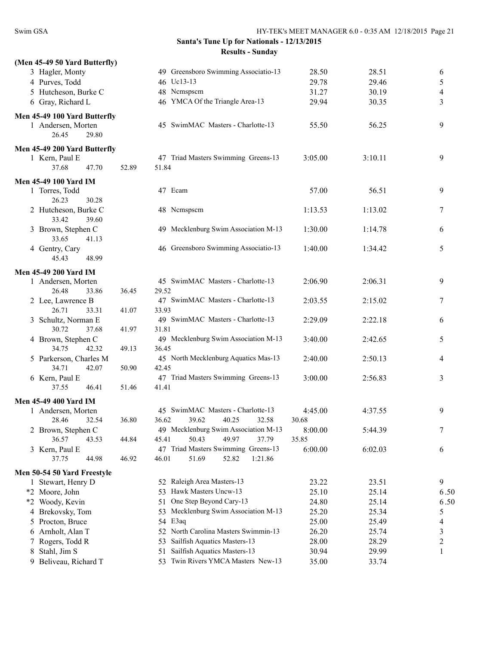| (Men 45-49 50 Yard Butterfly)          |       |                                            |         |         |                         |
|----------------------------------------|-------|--------------------------------------------|---------|---------|-------------------------|
| 3 Hagler, Monty                        |       | 49 Greensboro Swimming Associatio-13       | 28.50   | 28.51   | 6                       |
| 4 Purves, Todd                         |       | 46 Uc13-13                                 | 29.78   | 29.46   | 5                       |
| 5 Hutcheson, Burke C                   |       | 48 Nemspsem                                | 31.27   | 30.19   | 4                       |
| 6 Gray, Richard L                      |       | 46 YMCA Of the Triangle Area-13            | 29.94   | 30.35   | 3                       |
| Men 45-49 100 Yard Butterfly           |       |                                            |         |         |                         |
| 1 Andersen, Morten                     |       | 45 SwimMAC Masters - Charlotte-13          | 55.50   | 56.25   | 9                       |
| 26.45<br>29.80                         |       |                                            |         |         |                         |
| Men 45-49 200 Yard Butterfly           |       |                                            |         |         |                         |
| 1 Kern, Paul E                         |       | 47 Triad Masters Swimming Greens-13        | 3:05.00 | 3:10.11 | 9                       |
| 37.68<br>47.70                         | 52.89 | 51.84                                      |         |         |                         |
|                                        |       |                                            |         |         |                         |
| <b>Men 45-49 100 Yard IM</b>           |       | 47 Ecam                                    |         | 56.51   |                         |
| 1 Torres, Todd                         |       |                                            | 57.00   |         | 9                       |
| 26.23<br>30.28                         |       | 48 Nemspsem                                |         |         |                         |
| 2 Hutcheson, Burke C<br>33.42<br>39.60 |       |                                            | 1:13.53 | 1:13.02 | 7                       |
| 3 Brown, Stephen C                     |       | 49 Mecklenburg Swim Association M-13       | 1:30.00 | 1:14.78 | 6                       |
| 33.65<br>41.13                         |       |                                            |         |         |                         |
| 4 Gentry, Cary                         |       | 46 Greensboro Swimming Associatio-13       | 1:40.00 | 1:34.42 | 5                       |
| 45.43<br>48.99                         |       |                                            |         |         |                         |
|                                        |       |                                            |         |         |                         |
| <b>Men 45-49 200 Yard IM</b>           |       |                                            |         |         |                         |
| 1 Andersen, Morten                     |       | 45 SwimMAC Masters - Charlotte-13          | 2:06.90 | 2:06.31 | 9                       |
| 26.48<br>33.86                         | 36.45 | 29.52                                      |         |         |                         |
| 2 Lee, Lawrence B<br>26.71<br>33.31    | 41.07 | 47 SwimMAC Masters - Charlotte-13<br>33.93 | 2:03.55 | 2:15.02 | 7                       |
| 3 Schultz, Norman E                    |       | 49 SwimMAC Masters - Charlotte-13          | 2:29.09 | 2:22.18 | 6                       |
| 30.72<br>37.68                         | 41.97 | 31.81                                      |         |         |                         |
| 4 Brown, Stephen C                     |       | 49 Mecklenburg Swim Association M-13       | 3:40.00 | 2:42.65 | 5                       |
| 34.75<br>42.32                         | 49.13 | 36.45                                      |         |         |                         |
| 5 Parkerson, Charles M                 |       | 45 North Mecklenburg Aquatics Mas-13       | 2:40.00 | 2:50.13 | 4                       |
| 34.71<br>42.07                         | 50.90 | 42.45                                      |         |         |                         |
| 6 Kern, Paul E                         |       | 47 Triad Masters Swimming Greens-13        | 3:00.00 | 2:56.83 | 3                       |
| 37.55<br>46.41                         | 51.46 | 41.41                                      |         |         |                         |
| <b>Men 45-49 400 Yard IM</b>           |       |                                            |         |         |                         |
| 1 Andersen, Morten                     |       | 45 SwimMAC Masters - Charlotte-13          | 4:45.00 | 4:37.55 | 9                       |
| 28.46<br>32.54                         | 36.80 | 36.62<br>39.62<br>40.25<br>32.58           | 30.68   |         |                         |
| 2 Brown, Stephen C                     |       | 49 Mecklenburg Swim Association M-13       | 8:00.00 | 5:44.39 | 7                       |
| 36.57<br>43.53                         | 44.84 | 45.41<br>50.43<br>49.97<br>37.79           | 35.85   |         |                         |
| 3 Kern, Paul E                         |       | 47 Triad Masters Swimming Greens-13        | 6:00.00 | 6:02.03 | 6                       |
| 37.75<br>44.98                         | 46.92 | 1:21.86<br>46.01<br>51.69<br>52.82         |         |         |                         |
| Men 50-54 50 Yard Freestyle            |       |                                            |         |         |                         |
| 1 Stewart, Henry D                     |       | 52 Raleigh Area Masters-13                 | 23.22   | 23.51   | 9                       |
| *2 Moore, John                         |       | 53 Hawk Masters Uncw-13                    | 25.10   | 25.14   | 6.50                    |
| *2 Woody, Kevin                        |       | One Step Beyond Cary-13<br>51              | 24.80   | 25.14   | 6.50                    |
| Brekovsky, Tom<br>4                    |       | 53 Mecklenburg Swim Association M-13       | 25.20   | 25.34   | 5                       |
| Procton, Bruce<br>5                    |       | 54 E3aq                                    | 25.00   | 25.49   | 4                       |
| 6 Arnholt, Alan T                      |       | 52 North Carolina Masters Swimmin-13       | 26.20   | 25.74   | 3                       |
| Rogers, Todd R                         |       | Sailfish Aquatics Masters-13<br>53         | 28.00   | 28.29   | $\overline{\mathbf{c}}$ |
| Stahl, Jim S<br>8                      |       | Sailfish Aquatics Masters-13<br>51         | 30.94   | 29.99   | $\mathbf{1}$            |
| 9 Beliveau, Richard T                  |       | 53 Twin Rivers YMCA Masters New-13         | 35.00   | 33.74   |                         |
|                                        |       |                                            |         |         |                         |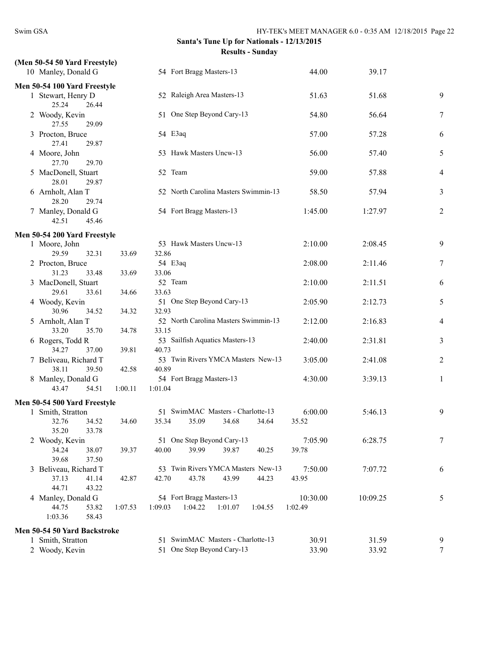| 54 Fort Bragg Masters-13             | 44.00                                                                                                                                                                                                                                                                                                                                                                                                                                                             | 39.17                                                                                                                                                                               |                                                                            |
|--------------------------------------|-------------------------------------------------------------------------------------------------------------------------------------------------------------------------------------------------------------------------------------------------------------------------------------------------------------------------------------------------------------------------------------------------------------------------------------------------------------------|-------------------------------------------------------------------------------------------------------------------------------------------------------------------------------------|----------------------------------------------------------------------------|
|                                      |                                                                                                                                                                                                                                                                                                                                                                                                                                                                   |                                                                                                                                                                                     |                                                                            |
| 52 Raleigh Area Masters-13           | 51.63                                                                                                                                                                                                                                                                                                                                                                                                                                                             | 51.68                                                                                                                                                                               | 9                                                                          |
| 51 One Step Beyond Cary-13           | 54.80                                                                                                                                                                                                                                                                                                                                                                                                                                                             | 56.64                                                                                                                                                                               | 7                                                                          |
| 54 E3aq                              | 57.00                                                                                                                                                                                                                                                                                                                                                                                                                                                             | 57.28                                                                                                                                                                               | 6                                                                          |
| 53 Hawk Masters Uncw-13              | 56.00                                                                                                                                                                                                                                                                                                                                                                                                                                                             | 57.40                                                                                                                                                                               | 5                                                                          |
| 52 Team                              | 59.00                                                                                                                                                                                                                                                                                                                                                                                                                                                             | 57.88                                                                                                                                                                               | 4                                                                          |
| 52 North Carolina Masters Swimmin-13 | 58.50                                                                                                                                                                                                                                                                                                                                                                                                                                                             | 57.94                                                                                                                                                                               | 3                                                                          |
| 54 Fort Bragg Masters-13             | 1:45.00                                                                                                                                                                                                                                                                                                                                                                                                                                                           | 1:27.97                                                                                                                                                                             | $\overline{c}$                                                             |
|                                      |                                                                                                                                                                                                                                                                                                                                                                                                                                                                   |                                                                                                                                                                                     |                                                                            |
| 53 Hawk Masters Uncw-13              | 2:10.00                                                                                                                                                                                                                                                                                                                                                                                                                                                           | 2:08.45                                                                                                                                                                             | 9                                                                          |
|                                      |                                                                                                                                                                                                                                                                                                                                                                                                                                                                   |                                                                                                                                                                                     |                                                                            |
|                                      |                                                                                                                                                                                                                                                                                                                                                                                                                                                                   |                                                                                                                                                                                     | 7                                                                          |
|                                      |                                                                                                                                                                                                                                                                                                                                                                                                                                                                   |                                                                                                                                                                                     | 6                                                                          |
|                                      |                                                                                                                                                                                                                                                                                                                                                                                                                                                                   |                                                                                                                                                                                     |                                                                            |
|                                      |                                                                                                                                                                                                                                                                                                                                                                                                                                                                   |                                                                                                                                                                                     | 5                                                                          |
|                                      |                                                                                                                                                                                                                                                                                                                                                                                                                                                                   |                                                                                                                                                                                     |                                                                            |
|                                      |                                                                                                                                                                                                                                                                                                                                                                                                                                                                   |                                                                                                                                                                                     | 4                                                                          |
| 33.15                                |                                                                                                                                                                                                                                                                                                                                                                                                                                                                   |                                                                                                                                                                                     |                                                                            |
| 53 Sailfish Aquatics Masters-13      | 2:40.00                                                                                                                                                                                                                                                                                                                                                                                                                                                           | 2:31.81                                                                                                                                                                             | 3                                                                          |
| 40.73                                |                                                                                                                                                                                                                                                                                                                                                                                                                                                                   |                                                                                                                                                                                     |                                                                            |
|                                      | 3:05.00                                                                                                                                                                                                                                                                                                                                                                                                                                                           | 2:41.08                                                                                                                                                                             | 2                                                                          |
| 40.89                                |                                                                                                                                                                                                                                                                                                                                                                                                                                                                   |                                                                                                                                                                                     |                                                                            |
|                                      | 4:30.00                                                                                                                                                                                                                                                                                                                                                                                                                                                           | 3:39.13                                                                                                                                                                             | 1                                                                          |
|                                      |                                                                                                                                                                                                                                                                                                                                                                                                                                                                   |                                                                                                                                                                                     |                                                                            |
|                                      |                                                                                                                                                                                                                                                                                                                                                                                                                                                                   |                                                                                                                                                                                     |                                                                            |
| 51 SwimMAC Masters - Charlotte-13    | 6:00.00                                                                                                                                                                                                                                                                                                                                                                                                                                                           | 5:46.13                                                                                                                                                                             | 9                                                                          |
| 35.34 35.09 34.68 34.64              | 35.52                                                                                                                                                                                                                                                                                                                                                                                                                                                             |                                                                                                                                                                                     |                                                                            |
|                                      |                                                                                                                                                                                                                                                                                                                                                                                                                                                                   |                                                                                                                                                                                     |                                                                            |
|                                      |                                                                                                                                                                                                                                                                                                                                                                                                                                                                   |                                                                                                                                                                                     | $\boldsymbol{7}$                                                           |
|                                      |                                                                                                                                                                                                                                                                                                                                                                                                                                                                   |                                                                                                                                                                                     |                                                                            |
|                                      |                                                                                                                                                                                                                                                                                                                                                                                                                                                                   |                                                                                                                                                                                     |                                                                            |
|                                      |                                                                                                                                                                                                                                                                                                                                                                                                                                                                   |                                                                                                                                                                                     | 6                                                                          |
|                                      |                                                                                                                                                                                                                                                                                                                                                                                                                                                                   |                                                                                                                                                                                     |                                                                            |
|                                      |                                                                                                                                                                                                                                                                                                                                                                                                                                                                   |                                                                                                                                                                                     | 5                                                                          |
|                                      |                                                                                                                                                                                                                                                                                                                                                                                                                                                                   |                                                                                                                                                                                     |                                                                            |
|                                      |                                                                                                                                                                                                                                                                                                                                                                                                                                                                   |                                                                                                                                                                                     |                                                                            |
| 51 SwimMAC Masters - Charlotte-13    | 30.91                                                                                                                                                                                                                                                                                                                                                                                                                                                             | 31.59                                                                                                                                                                               | 9                                                                          |
| One Step Beyond Cary-13<br>51        | 33.90                                                                                                                                                                                                                                                                                                                                                                                                                                                             | 33.92                                                                                                                                                                               | 7                                                                          |
|                                      | 32.86<br>33.69<br>54 E3aq<br>33.06<br>33.69<br>52 Team<br>33.63<br>34.66<br>51 One Step Beyond Cary-13<br>32.93<br>34.32<br>52 North Carolina Masters Swimmin-13<br>34.78<br>39.81<br>42.58<br>54 Fort Bragg Masters-13<br>1:01.04<br>1:00.11<br>34.60<br>51 One Step Beyond Cary-13<br>39.99<br>39.87<br>39.37<br>40.00<br>40.25<br>43.99<br>42.87<br>42.70<br>43.78<br>44.23<br>54 Fort Bragg Masters-13<br>1:09.03<br>1:04.22<br>1:01.07<br>1:07.53<br>1:04.55 | 2:08.00<br>2:10.00<br>2:05.90<br>2:12.00<br>53 Twin Rivers YMCA Masters New-13<br>7:05.90<br>39.78<br>53 Twin Rivers YMCA Masters New-13<br>7:50.00<br>43.95<br>10:30.00<br>1:02.49 | 2:11.46<br>2:11.51<br>2:12.73<br>2:16.83<br>6:28.75<br>7:07.72<br>10:09.25 |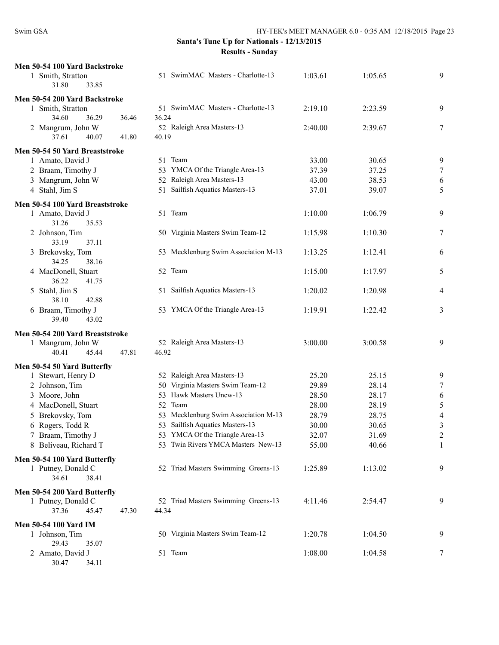| Men 50-54 100 Yard Backstroke        |       |                                      |                |                |                |
|--------------------------------------|-------|--------------------------------------|----------------|----------------|----------------|
| 1 Smith, Stratton                    |       | 51 SwimMAC Masters - Charlotte-13    | 1:03.61        | 1:05.65        | 9              |
| 33.85<br>31.80                       |       |                                      |                |                |                |
| Men 50-54 200 Yard Backstroke        |       |                                      |                |                |                |
| 1 Smith, Stratton                    |       | 51 SwimMAC Masters - Charlotte-13    | 2:19.10        | 2:23.59        | 9              |
| 34.60<br>36.29                       | 36.46 | 36.24                                |                |                |                |
| 2 Mangrum, John W                    |       | 52 Raleigh Area Masters-13           | 2:40.00        | 2:39.67        | 7              |
| 37.61<br>40.07                       | 41.80 | 40.19                                |                |                |                |
| Men 50-54 50 Yard Breaststroke       |       |                                      |                |                |                |
| 1 Amato, David J                     |       | 51 Team                              | 33.00          | 30.65          | 9              |
| 2 Braam, Timothy J                   |       | 53 YMCA Of the Triangle Area-13      | 37.39          | 37.25          | 7              |
| 3 Mangrum, John W                    |       | 52 Raleigh Area Masters-13           | 43.00          | 38.53          | 6              |
| 4 Stahl, Jim S                       |       | Sailfish Aquatics Masters-13<br>51   | 37.01          | 39.07          | 5              |
|                                      |       |                                      |                |                |                |
| Men 50-54 100 Yard Breaststroke      |       |                                      |                |                |                |
| 1 Amato, David J<br>31.26<br>35.53   |       | 51 Team                              | 1:10.00        | 1:06.79        | 9              |
| 2 Johnson, Tim                       |       | 50 Virginia Masters Swim Team-12     | 1:15.98        | 1:10.30        | 7              |
| 33.19<br>37.11                       |       |                                      |                |                |                |
| 3 Brekovsky, Tom                     |       | 53 Mecklenburg Swim Association M-13 | 1:13.25        | 1:12.41        | 6              |
| 34.25<br>38.16                       |       |                                      |                |                |                |
| 4 MacDonell, Stuart                  |       | 52 Team                              | 1:15.00        | 1:17.97        | 5              |
| 36.22<br>41.75                       |       |                                      |                |                |                |
| 5 Stahl, Jim S                       |       | 51 Sailfish Aquatics Masters-13      | 1:20.02        | 1:20.98        | 4              |
| 38.10<br>42.88                       |       |                                      |                |                |                |
| 6 Braam, Timothy J                   |       | 53 YMCA Of the Triangle Area-13      | 1:19.91        | 1:22.42        | 3              |
| 39.40<br>43.02                       |       |                                      |                |                |                |
| Men 50-54 200 Yard Breaststroke      |       |                                      |                |                |                |
| 1 Mangrum, John W                    |       | 52 Raleigh Area Masters-13           | 3:00.00        | 3:00.58        | 9              |
| 40.41<br>45.44                       | 47.81 | 46.92                                |                |                |                |
|                                      |       |                                      |                |                |                |
| Men 50-54 50 Yard Butterfly          |       | 52 Raleigh Area Masters-13           |                |                |                |
| 1 Stewart, Henry D<br>2 Johnson, Tim |       | 50 Virginia Masters Swim Team-12     | 25.20<br>29.89 | 25.15<br>28.14 | 9<br>7         |
| 3 Moore, John                        |       | 53 Hawk Masters Uncw-13              | 28.50          | 28.17          |                |
| 4 MacDonell, Stuart                  |       | 52 Team                              | 28.00          | 28.19          | 6<br>5         |
| 5 Brekovsky, Tom                     |       | 53 Mecklenburg Swim Association M-13 | 28.79          | 28.75          | $\overline{4}$ |
| 6 Rogers, Todd R                     |       | 53 Sailfish Aquatics Masters-13      | 30.00          | 30.65          | $\mathfrak{Z}$ |
| 7 Braam, Timothy J                   |       | 53 YMCA Of the Triangle Area-13      | 32.07          | 31.69          | $\overline{c}$ |
| 8 Beliveau, Richard T                |       | 53 Twin Rivers YMCA Masters New-13   | 55.00          | 40.66          | 1              |
|                                      |       |                                      |                |                |                |
| Men 50-54 100 Yard Butterfly         |       |                                      |                |                |                |
| 1 Putney, Donald C                   |       | 52 Triad Masters Swimming Greens-13  | 1:25.89        | 1:13.02        | 9              |
| 34.61<br>38.41                       |       |                                      |                |                |                |
| Men 50-54 200 Yard Butterfly         |       |                                      |                |                |                |
| 1 Putney, Donald C                   |       | 52 Triad Masters Swimming Greens-13  | 4:11.46        | 2:54.47        | 9              |
| 37.36<br>45.47                       | 47.30 | 44.34                                |                |                |                |
| <b>Men 50-54 100 Yard IM</b>         |       |                                      |                |                |                |
| 1 Johnson, Tim                       |       | 50 Virginia Masters Swim Team-12     | 1:20.78        | 1:04.50        | 9              |
| 29.43<br>35.07                       |       |                                      |                |                |                |
| 2 Amato, David J                     |       | 51 Team                              | 1:08.00        | 1:04.58        | 7              |
| 30.47<br>34.11                       |       |                                      |                |                |                |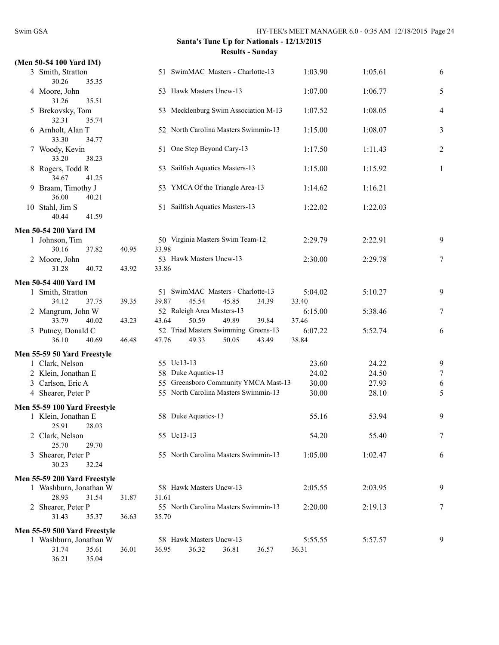| (Men 50-54 100 Yard IM)<br>3 Smith, Stratton |       | 51 SwimMAC Masters - Charlotte-13                                       | 1:03.90          | 1:05.61 | 6 |
|----------------------------------------------|-------|-------------------------------------------------------------------------|------------------|---------|---|
| 30.26<br>35.35                               |       |                                                                         |                  |         |   |
| 4 Moore, John<br>31.26<br>35.51              |       | 53 Hawk Masters Uncw-13                                                 | 1:07.00          | 1:06.77 | 5 |
| 5 Brekovsky, Tom<br>32.31<br>35.74           |       | 53 Mecklenburg Swim Association M-13                                    | 1:07.52          | 1:08.05 | 4 |
| 6 Arnholt, Alan T<br>33.30<br>34.77          |       | 52 North Carolina Masters Swimmin-13                                    | 1:15.00          | 1:08.07 | 3 |
| 7 Woody, Kevin<br>33.20<br>38.23             |       | 51 One Step Beyond Cary-13                                              | 1:17.50          | 1:11.43 | 2 |
| 8 Rogers, Todd R<br>34.67<br>41.25           |       | 53 Sailfish Aquatics Masters-13                                         | 1:15.00          | 1:15.92 | 1 |
| 9 Braam, Timothy J<br>36.00<br>40.21         |       | 53 YMCA Of the Triangle Area-13                                         | 1:14.62          | 1:16.21 |   |
| 10 Stahl, Jim S<br>40.44<br>41.59            |       | 51 Sailfish Aquatics Masters-13                                         | 1:22.02          | 1:22.03 |   |
| <b>Men 50-54 200 Yard IM</b>                 |       |                                                                         |                  |         |   |
| 1 Johnson, Tim<br>30.16<br>37.82             | 40.95 | 50 Virginia Masters Swim Team-12<br>33.98                               | 2:29.79          | 2:22.91 | 9 |
| 2 Moore, John<br>40.72<br>31.28              | 43.92 | 53 Hawk Masters Uncw-13<br>33.86                                        | 2:30.00          | 2:29.78 | 7 |
| Men 50-54 400 Yard IM                        |       |                                                                         |                  |         |   |
| 1 Smith, Stratton<br>34.12<br>37.75          | 39.35 | 51 SwimMAC Masters - Charlotte-13<br>39.87<br>45.54<br>45.85<br>34.39   | 5:04.02<br>33.40 | 5:10.27 | 9 |
| 2 Mangrum, John W<br>33.79<br>40.02          | 43.23 | 52 Raleigh Area Masters-13<br>43.64<br>50.59<br>49.89<br>39.84          | 6:15.00<br>37.46 | 5:38.46 | 7 |
| 3 Putney, Donald C<br>40.69<br>36.10         | 46.48 | 52 Triad Masters Swimming Greens-13<br>47.76<br>49.33<br>50.05<br>43.49 | 6:07.22<br>38.84 | 5:52.74 | 6 |
| Men 55-59 50 Yard Freestyle                  |       |                                                                         |                  |         |   |
| 1 Clark, Nelson                              |       | 55 Uc13-13                                                              | 23.60            | 24.22   | 9 |
| 2 Klein, Jonathan E                          |       | 58 Duke Aquatics-13                                                     | 24.02            | 24.50   | 7 |
| 3 Carlson, Eric A                            |       | 55 Greensboro Community YMCA Mast-13                                    | 30.00            | 27.93   | 6 |
| 4 Shearer, Peter P                           |       | 55 North Carolina Masters Swimmin-13                                    | 30.00            | 28.10   | 5 |
| Men 55-59 100 Yard Freestyle                 |       |                                                                         |                  |         |   |
| 1 Klein, Jonathan E<br>25.91<br>28.03        |       | 58 Duke Aquatics-13                                                     | 55.16            | 53.94   | 9 |
| 2 Clark, Nelson<br>25.70<br>29.70            |       | 55 Uc13-13                                                              | 54.20            | 55.40   | 7 |
| 3 Shearer, Peter P<br>30.23<br>32.24         |       | 55 North Carolina Masters Swimmin-13                                    | 1:05.00          | 1:02.47 | 6 |
| Men 55-59 200 Yard Freestyle                 |       |                                                                         |                  |         |   |
| 1 Washburn, Jonathan W                       |       | 58 Hawk Masters Uncw-13                                                 | 2:05.55          | 2:03.95 | 9 |
| 28.93<br>31.54                               | 31.87 | 31.61                                                                   |                  |         |   |
| 2 Shearer, Peter P<br>31.43<br>35.37         | 36.63 | 55 North Carolina Masters Swimmin-13<br>35.70                           | 2:20.00          | 2:19.13 | 7 |
|                                              |       |                                                                         |                  |         |   |
| Men 55-59 500 Yard Freestyle                 |       | 58 Hawk Masters Uncw-13                                                 |                  |         |   |
| 1 Washburn, Jonathan W<br>31.74              |       | 36.32<br>36.81                                                          | 5:55.55<br>36.31 | 5:57.57 | 9 |
| 35.61<br>36.21<br>35.04                      | 36.01 | 36.95<br>36.57                                                          |                  |         |   |
|                                              |       |                                                                         |                  |         |   |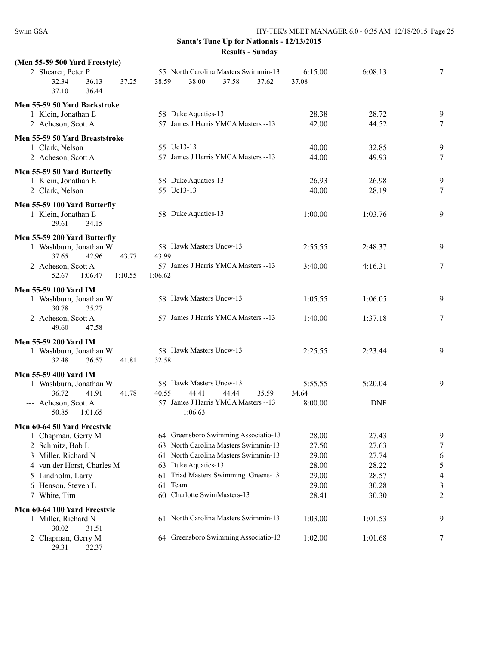| (Men 55-59 500 Yard Freestyle)                         |                                                                                   |                  |                |             |
|--------------------------------------------------------|-----------------------------------------------------------------------------------|------------------|----------------|-------------|
| 2 Shearer, Peter P<br>32.34<br>36.13<br>36.44<br>37.10 | 55 North Carolina Masters Swimmin-13<br>37.25<br>38.59<br>38.00<br>37.58<br>37.62 | 6:15.00<br>37.08 | 6:08.13        | 7           |
| Men 55-59 50 Yard Backstroke                           |                                                                                   |                  |                |             |
| 1 Klein, Jonathan E                                    | 58 Duke Aquatics-13                                                               | 28.38            | 28.72          | 9           |
| 2 Acheson, Scott A                                     | 57 James J Harris YMCA Masters -- 13                                              | 42.00            | 44.52          | 7           |
|                                                        |                                                                                   |                  |                |             |
| Men 55-59 50 Yard Breaststroke                         | 55 Uc13-13                                                                        | 40.00            | 32.85          |             |
| 1 Clark, Nelson<br>2 Acheson, Scott A                  | 57 James J Harris YMCA Masters --13                                               | 44.00            | 49.93          | 9<br>$\tau$ |
|                                                        |                                                                                   |                  |                |             |
| Men 55-59 50 Yard Butterfly                            |                                                                                   |                  |                |             |
| 1 Klein, Jonathan E                                    | 58 Duke Aquatics-13                                                               | 26.93            | 26.98          | 9           |
| 2 Clark, Nelson                                        | 55 Uc13-13                                                                        | 40.00            | 28.19          | $\tau$      |
| Men 55-59 100 Yard Butterfly                           |                                                                                   |                  |                |             |
| 1 Klein, Jonathan E                                    | 58 Duke Aquatics-13                                                               | 1:00.00          | 1:03.76        | 9           |
| 29.61<br>34.15                                         |                                                                                   |                  |                |             |
| Men 55-59 200 Yard Butterfly                           |                                                                                   |                  |                |             |
| 1 Washburn, Jonathan W                                 | 58 Hawk Masters Uncw-13                                                           | 2:55.55          | 2:48.37        | 9           |
| 37.65<br>42.96                                         | 43.77<br>43.99                                                                    |                  |                |             |
| 2 Acheson, Scott A                                     | 57 James J Harris YMCA Masters -- 13                                              | 3:40.00          | 4:16.31        | 7           |
| 52.67<br>1:06.47<br>1:10.55                            | 1:06.62                                                                           |                  |                |             |
| Men 55-59 100 Yard IM                                  |                                                                                   |                  |                |             |
| 1 Washburn, Jonathan W                                 | 58 Hawk Masters Uncw-13                                                           | 1:05.55          | 1:06.05        | 9           |
| 30.78<br>35.27                                         |                                                                                   |                  |                |             |
| 2 Acheson, Scott A                                     | 57 James J Harris YMCA Masters --13                                               | 1:40.00          | 1:37.18        | $\tau$      |
| 49.60<br>47.58                                         |                                                                                   |                  |                |             |
| <b>Men 55-59 200 Yard IM</b>                           |                                                                                   |                  |                |             |
| 1 Washburn, Jonathan W                                 | 58 Hawk Masters Uncw-13                                                           | 2:25.55          | 2:23.44        | 9           |
| 32.48<br>36.57                                         | 41.81<br>32.58                                                                    |                  |                |             |
| <b>Men 55-59 400 Yard IM</b>                           |                                                                                   |                  |                |             |
| 1 Washburn, Jonathan W                                 | 58 Hawk Masters Uncw-13                                                           | 5:55.55          | 5:20.04        | 9           |
| 36.72<br>41.91                                         | 41.78<br>40.55<br>44.41<br>44.44<br>35.59                                         | 34.64            |                |             |
| --- Acheson, Scott A<br>50.85<br>1:01.65               | 57 James J Harris YMCA Masters -- 13<br>1:06.63                                   | 8:00.00          | <b>DNF</b>     |             |
|                                                        |                                                                                   |                  |                |             |
| Men 60-64 50 Yard Freestyle                            |                                                                                   |                  |                |             |
| 1 Chapman, Gerry M                                     | 64 Greensboro Swimming Associatio-13                                              | 28.00            | 27.43          | 9           |
| 2 Schmitz, Bob L                                       | North Carolina Masters Swimmin-13<br>63<br>North Carolina Masters Swimmin-13      | 27.50            | 27.63          | 7           |
| 3 Miller, Richard N                                    | 61<br>Duke Aquatics-13                                                            | 29.00<br>28.00   | 27.74<br>28.22 | 6           |
| 4 van der Horst, Charles M<br>5 Lindholm, Larry        | 63<br>Triad Masters Swimming Greens-13<br>61                                      | 29.00            | 28.57          | 5<br>4      |
| 6 Henson, Steven L                                     | Team<br>61                                                                        | 29.00            | 30.28          | 3           |
| 7 White, Tim                                           | Charlotte SwimMasters-13<br>60                                                    | 28.41            | 30.30          | 2           |
|                                                        |                                                                                   |                  |                |             |
| Men 60-64 100 Yard Freestyle<br>1 Miller, Richard N    | 61 North Carolina Masters Swimmin-13                                              | 1:03.00          | 1:01.53        | 9           |
| 30.02<br>31.51                                         |                                                                                   |                  |                |             |
| 2 Chapman, Gerry M                                     | 64 Greensboro Swimming Associatio-13                                              | 1:02.00          | 1:01.68        | 7           |
| 29.31<br>32.37                                         |                                                                                   |                  |                |             |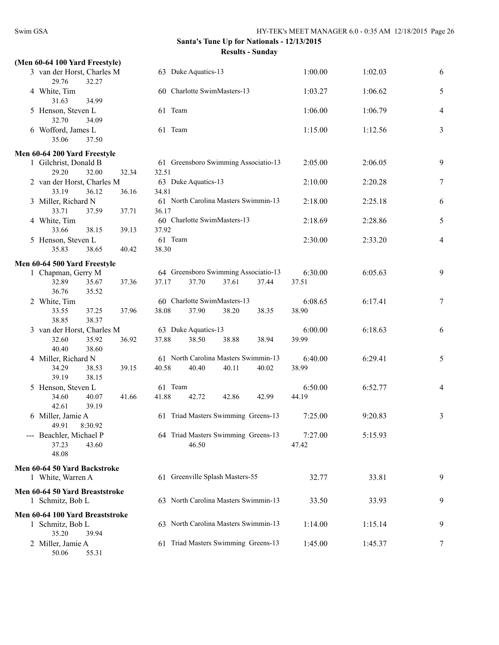| (Men 60-64 100 Yard Freestyle)        |                |         |                                      |       |         |         |   |
|---------------------------------------|----------------|---------|--------------------------------------|-------|---------|---------|---|
| 3 van der Horst, Charles M<br>29.76   | 32.27          |         | 63 Duke Aquatics-13                  |       | 1:00.00 | 1:02.03 | 6 |
| 4 White, Tim<br>31.63                 | 34.99          |         | 60 Charlotte SwimMasters-13          |       | 1:03.27 | 1:06.62 | 5 |
| 5 Henson, Steven L<br>32.70           | 34.09          | 61 Team |                                      |       | 1:06.00 | 1:06.79 | 4 |
| 6 Wofford, James L<br>35.06           | 37.50          | 61 Team |                                      |       | 1:15.00 | 1:12.56 | 3 |
| Men 60-64 200 Yard Freestyle          |                |         |                                      |       |         |         |   |
| 1 Gilchrist, Donald B                 |                |         | 61 Greensboro Swimming Associatio-13 |       | 2:05.00 | 2:06.05 | 9 |
| 29.20                                 | 32.00<br>32.34 | 32.51   |                                      |       |         |         |   |
| 2 van der Horst, Charles M            |                |         | 63 Duke Aquatics-13                  |       | 2:10.00 | 2:20.28 | 7 |
| 33.19                                 | 36.16<br>36.12 | 34.81   |                                      |       |         |         |   |
| 3 Miller, Richard N                   |                |         | 61 North Carolina Masters Swimmin-13 |       | 2:18.00 | 2:25.18 | 6 |
| 33.71                                 | 37.59<br>37.71 | 36.17   |                                      |       |         |         |   |
| 4 White, Tim                          |                |         | 60 Charlotte SwimMasters-13          |       | 2:18.69 | 2:28.86 | 5 |
| 33.66                                 | 38.15<br>39.13 | 37.92   |                                      |       |         |         |   |
| 5 Henson, Steven L                    |                | 61 Team |                                      |       | 2:30.00 | 2:33.20 | 4 |
| 35.83                                 | 38.65<br>40.42 | 38.30   |                                      |       |         |         |   |
| Men 60-64 500 Yard Freestyle          |                |         |                                      |       |         |         |   |
| 1 Chapman, Gerry M                    |                |         | 64 Greensboro Swimming Associatio-13 |       | 6:30.00 | 6:05.63 | 9 |
| 32.89                                 | 37.36<br>35.67 | 37.17   | 37.70<br>37.61                       | 37.44 | 37.51   |         |   |
| 36.76                                 | 35.52          |         |                                      |       |         |         |   |
| 2 White, Tim                          |                |         | 60 Charlotte SwimMasters-13          |       | 6:08.65 | 6:17.41 | 7 |
| 33.55                                 | 37.25<br>37.96 | 38.08   | 37.90<br>38.20                       | 38.35 | 38.90   |         |   |
| 38.85                                 | 38.37          |         |                                      |       |         |         |   |
| 3 van der Horst, Charles M            |                |         | 63 Duke Aquatics-13                  |       | 6:00.00 | 6:18.63 | 6 |
| 32.60                                 | 35.92<br>36.92 | 37.88   | 38.50<br>38.88                       | 38.94 | 39.99   |         |   |
| 40.40                                 | 38.60          |         |                                      |       |         |         |   |
| 4 Miller, Richard N                   |                |         | 61 North Carolina Masters Swimmin-13 |       | 6:40.00 | 6:29.41 | 5 |
| 34.29                                 | 39.15<br>38.53 | 40.58   | 40.40<br>40.11                       | 40.02 | 38.99   |         |   |
| 39.19                                 | 38.15          |         |                                      |       |         |         |   |
| 5 Henson, Steven L                    |                | 61 Team |                                      |       | 6:50.00 | 6:52.77 | 4 |
| 34.60<br>42.61                        | 40.07<br>41.66 | 41.88   | 42.72<br>42.86                       | 42.99 | 44.19   |         |   |
|                                       | 39.19          |         | 61 Triad Masters Swimming Greens-13  |       | 7:25.00 | 9:20.83 |   |
| 6 Miller, Jamie A<br>49.91<br>8:30.92 |                |         |                                      |       |         |         | 3 |
| --- Beachler, Michael P               |                |         | 64 Triad Masters Swimming Greens-13  |       | 7:27.00 | 5:15.93 |   |
| 37.23                                 | 43.60          |         | 46.50                                |       | 47.42   |         |   |
| 48.08                                 |                |         |                                      |       |         |         |   |
|                                       |                |         |                                      |       |         |         |   |
| Men 60-64 50 Yard Backstroke          |                |         |                                      |       |         |         |   |
| 1 White, Warren A                     |                |         | 61 Greenville Splash Masters-55      |       | 32.77   | 33.81   | 9 |
| Men 60-64 50 Yard Breaststroke        |                |         |                                      |       |         |         |   |
| 1 Schmitz, Bob L                      |                |         | 63 North Carolina Masters Swimmin-13 |       | 33.50   | 33.93   | 9 |
| Men 60-64 100 Yard Breaststroke       |                |         |                                      |       |         |         |   |
| 1 Schmitz, Bob L                      |                |         | 63 North Carolina Masters Swimmin-13 |       | 1:14.00 | 1:15.14 | 9 |
| 35.20                                 | 39.94          |         |                                      |       |         |         |   |
| 2 Miller, Jamie A                     |                |         | 61 Triad Masters Swimming Greens-13  |       | 1:45.00 | 1:45.37 | 7 |
| 50.06                                 | 55.31          |         |                                      |       |         |         |   |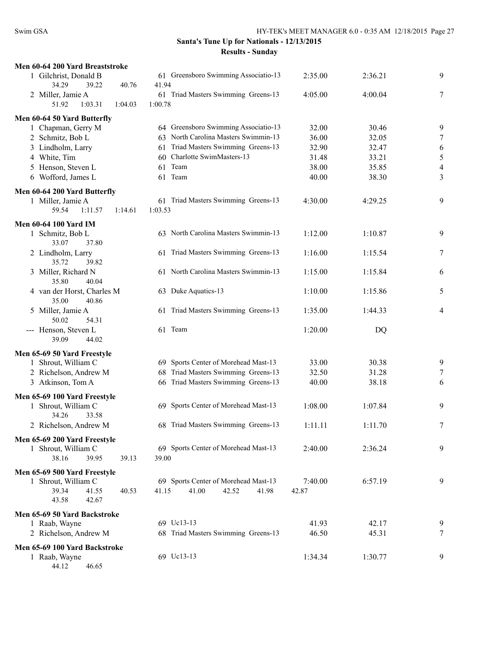| Men 60-64 200 Yard Breaststroke        |                                      |         |         |                |
|----------------------------------------|--------------------------------------|---------|---------|----------------|
| 1 Gilchrist, Donald B                  | 61 Greensboro Swimming Associatio-13 | 2:35.00 | 2:36.21 | 9              |
| 34.29<br>39.22<br>40.76                | 41.94                                |         |         |                |
| 2 Miller, Jamie A                      | 61 Triad Masters Swimming Greens-13  | 4:05.00 | 4:00.04 | 7              |
| 51.92<br>1:03.31<br>1:04.03            | 1:00.78                              |         |         |                |
| Men 60-64 50 Yard Butterfly            |                                      |         |         |                |
| 1 Chapman, Gerry M                     | 64 Greensboro Swimming Associatio-13 | 32.00   | 30.46   | 9              |
| 2 Schmitz, Bob L                       | 63 North Carolina Masters Swimmin-13 | 36.00   | 32.05   | 7              |
| 3 Lindholm, Larry                      | 61 Triad Masters Swimming Greens-13  | 32.90   | 32.47   | 6              |
| 4 White, Tim                           | 60 Charlotte SwimMasters-13          | 31.48   | 33.21   | 5              |
| 5 Henson, Steven L                     | 61 Team                              | 38.00   | 35.85   | $\overline{4}$ |
| 6 Wofford, James L                     | 61 Team                              | 40.00   | 38.30   | 3              |
| Men 60-64 200 Yard Butterfly           |                                      |         |         |                |
| 1 Miller, Jamie A                      | 61 Triad Masters Swimming Greens-13  | 4:30.00 | 4:29.25 | 9              |
| 59.54<br>1:11.57<br>1:14.61            | 1:03.53                              |         |         |                |
| <b>Men 60-64 100 Yard IM</b>           |                                      |         |         |                |
| 1 Schmitz, Bob L                       | 63 North Carolina Masters Swimmin-13 | 1:12.00 | 1:10.87 | 9              |
| 33.07<br>37.80                         |                                      |         |         |                |
| 2 Lindholm, Larry                      | 61 Triad Masters Swimming Greens-13  | 1:16.00 | 1:15.54 | 7              |
| 35.72<br>39.82                         |                                      |         |         |                |
| 3 Miller, Richard N                    | 61 North Carolina Masters Swimmin-13 | 1:15.00 | 1:15.84 | 6              |
| 35.80<br>40.04                         |                                      |         |         |                |
| 4 van der Horst, Charles M             | 63 Duke Aquatics-13                  | 1:10.00 | 1:15.86 | 5              |
| 35.00<br>40.86                         |                                      |         |         |                |
| 5 Miller, Jamie A                      | 61 Triad Masters Swimming Greens-13  | 1:35.00 | 1:44.33 | $\overline{4}$ |
| 50.02<br>54.31                         | 61 Team                              |         |         |                |
| --- Henson, Steven L<br>39.09<br>44.02 |                                      | 1:20.00 | DQ      |                |
|                                        |                                      |         |         |                |
| Men 65-69 50 Yard Freestyle            |                                      |         |         |                |
| 1 Shrout, William C                    | 69 Sports Center of Morehead Mast-13 | 33.00   | 30.38   | 9              |
| 2 Richelson, Andrew M                  | 68 Triad Masters Swimming Greens-13  | 32.50   | 31.28   | 7              |
| 3 Atkinson, Tom A                      | 66 Triad Masters Swimming Greens-13  | 40.00   | 38.18   | 6              |
| Men 65-69 100 Yard Freestyle           |                                      |         |         |                |
| 1 Shrout, William C                    | 69 Sports Center of Morehead Mast-13 | 1:08.00 | 1:07.84 | 9              |
| 33.58<br>34.26                         |                                      |         |         |                |
| 2 Richelson, Andrew M                  | 68 Triad Masters Swimming Greens-13  | 1:11.11 | 1:11.70 | 7              |
| Men 65-69 200 Yard Freestyle           |                                      |         |         |                |
| 1 Shrout, William C                    | 69 Sports Center of Morehead Mast-13 | 2:40.00 | 2:36.24 | 9              |
| 38.16<br>39.95<br>39.13                | 39.00                                |         |         |                |
| Men 65-69 500 Yard Freestyle           |                                      |         |         |                |
| 1 Shrout, William C                    | 69 Sports Center of Morehead Mast-13 | 7:40.00 | 6:57.19 | 9              |
| 39.34<br>41.55<br>40.53                | 41.00<br>41.15<br>42.52<br>41.98     | 42.87   |         |                |
| 43.58<br>42.67                         |                                      |         |         |                |
| Men 65-69 50 Yard Backstroke           |                                      |         |         |                |
| 1 Raab, Wayne                          | 69 Uc13-13                           | 41.93   | 42.17   | 9              |
| 2 Richelson, Andrew M                  | 68 Triad Masters Swimming Greens-13  | 46.50   | 45.31   | 7              |
|                                        |                                      |         |         |                |
| Men 65-69 100 Yard Backstroke          | 69 Uc13-13                           | 1:34.34 | 1:30.77 | 9              |
| 1 Raab, Wayne<br>44.12<br>46.65        |                                      |         |         |                |
|                                        |                                      |         |         |                |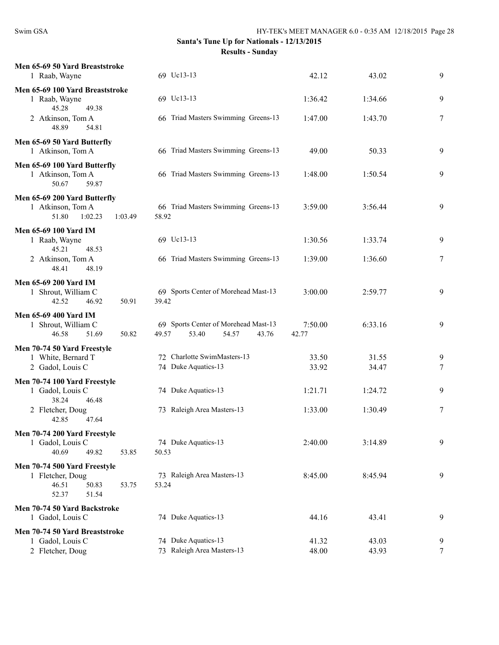| Men 65-69 50 Yard Breaststroke<br>1 Raab, Wayne                                               | 69 Uc13-13                                                               | 42.12            | 43.02   | 9              |
|-----------------------------------------------------------------------------------------------|--------------------------------------------------------------------------|------------------|---------|----------------|
| Men 65-69 100 Yard Breaststroke<br>1 Raab, Wayne                                              | 69 Uc13-13                                                               | 1:36.42          | 1:34.66 | 9              |
| 45.28<br>49.38<br>2 Atkinson, Tom A<br>48.89<br>54.81                                         | 66 Triad Masters Swimming Greens-13                                      | 1:47.00          | 1:43.70 | 7              |
| Men 65-69 50 Yard Butterfly<br>1 Atkinson, Tom A                                              | 66 Triad Masters Swimming Greens-13                                      | 49.00            | 50.33   | 9              |
| Men 65-69 100 Yard Butterfly<br>1 Atkinson, Tom A<br>50.67<br>59.87                           | 66 Triad Masters Swimming Greens-13                                      | 1:48.00          | 1:50.54 | 9              |
| Men 65-69 200 Yard Butterfly<br>1 Atkinson, Tom A<br>51.80<br>1:02.23<br>1:03.49              | 66 Triad Masters Swimming Greens-13<br>58.92                             | 3:59.00          | 3:56.44 | 9              |
| <b>Men 65-69 100 Yard IM</b><br>1 Raab, Wayne<br>45.21                                        | 69 Uc13-13                                                               | 1:30.56          | 1:33.74 | 9              |
| 48.53<br>2 Atkinson, Tom A<br>48.19<br>48.41                                                  | 66 Triad Masters Swimming Greens-13                                      | 1:39.00          | 1:36.60 | 7              |
| <b>Men 65-69 200 Yard IM</b><br>1 Shrout, William C<br>46.92<br>42.52<br>50.91                | 69 Sports Center of Morehead Mast-13<br>39.42                            | 3:00.00          | 2:59.77 | 9              |
| <b>Men 65-69 400 Yard IM</b><br>1 Shrout, William C<br>46.58<br>51.69<br>50.82                | 69 Sports Center of Morehead Mast-13<br>53.40<br>54.57<br>49.57<br>43.76 | 7:50.00<br>42.77 | 6:33.16 | 9              |
| Men 70-74 50 Yard Freestyle                                                                   |                                                                          |                  |         |                |
| 1 White, Bernard T                                                                            | 72 Charlotte SwimMasters-13                                              | 33.50            | 31.55   | 9              |
| 2 Gadol, Louis C                                                                              | 74 Duke Aquatics-13                                                      | 33.92            | 34.47   | 7              |
| Men 70-74 100 Yard Freestyle<br>1 Gadol, Louis C<br>38.24<br>46.48                            | 74 Duke Aquatics-13                                                      | 1:21.71          | 1:24.72 | 9              |
| 2 Fletcher, Doug<br>42.85<br>47.64                                                            | 73 Raleigh Area Masters-13                                               | 1:33.00          | 1:30.49 | 7              |
| Men 70-74 200 Yard Freestyle<br>1 Gadol, Louis C<br>40.69<br>49.82<br>53.85                   | 74 Duke Aquatics-13<br>50.53                                             | 2:40.00          | 3:14.89 | 9              |
| Men 70-74 500 Yard Freestyle<br>1 Fletcher, Doug<br>46.51<br>50.83<br>53.75<br>52.37<br>51.54 | 73 Raleigh Area Masters-13<br>53.24                                      | 8:45.00          | 8:45.94 | 9              |
| Men 70-74 50 Yard Backstroke<br>1 Gadol, Louis C                                              | 74 Duke Aquatics-13                                                      | 44.16            | 43.41   | 9              |
| Men 70-74 50 Yard Breaststroke                                                                |                                                                          |                  |         |                |
| 1 Gadol, Louis C                                                                              | 74 Duke Aquatics-13                                                      | 41.32            | 43.03   | 9              |
| 2 Fletcher, Doug                                                                              | 73 Raleigh Area Masters-13                                               | 48.00            | 43.93   | $\overline{7}$ |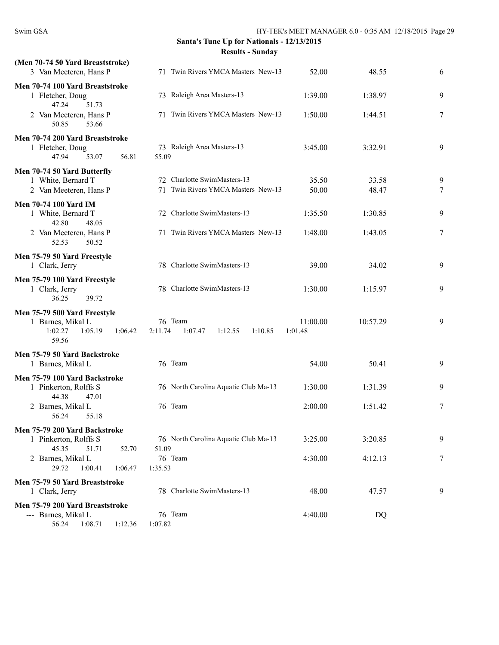| (Men 70-74 50 Yard Breaststroke)<br>3 Van Meeteren, Hans P                                  | 71 Twin Rivers YMCA Masters New-13                  | 52.00               | 48.55    | 6 |
|---------------------------------------------------------------------------------------------|-----------------------------------------------------|---------------------|----------|---|
| Men 70-74 100 Yard Breaststroke<br>1 Fletcher, Doug<br>47.24<br>51.73                       | 73 Raleigh Area Masters-13                          | 1:39.00             | 1:38.97  | 9 |
| 2 Van Meeteren, Hans P<br>50.85<br>53.66                                                    | 71 Twin Rivers YMCA Masters New-13                  | 1:50.00             | 1:44.51  | 7 |
| Men 70-74 200 Yard Breaststroke<br>1 Fletcher, Doug<br>47.94<br>53.07<br>56.81              | 73 Raleigh Area Masters-13<br>55.09                 | 3:45.00             | 3:32.91  | 9 |
| Men 70-74 50 Yard Butterfly                                                                 |                                                     |                     |          |   |
| 1 White, Bernard T                                                                          | 72 Charlotte SwimMasters-13                         | 35.50               | 33.58    | 9 |
| 2 Van Meeteren, Hans P                                                                      | 71 Twin Rivers YMCA Masters New-13                  | 50.00               | 48.47    | 7 |
| <b>Men 70-74 100 Yard IM</b><br>1 White, Bernard T<br>42.80<br>48.05                        | 72 Charlotte SwimMasters-13                         | 1:35.50             | 1:30.85  | 9 |
| 2 Van Meeteren, Hans P<br>50.52<br>52.53                                                    | 71 Twin Rivers YMCA Masters New-13                  | 1:48.00             | 1:43.05  | 7 |
| Men 75-79 50 Yard Freestyle<br>1 Clark, Jerry                                               | 78 Charlotte SwimMasters-13                         | 39.00               | 34.02    | 9 |
| Men 75-79 100 Yard Freestyle<br>1 Clark, Jerry<br>36.25<br>39.72                            | 78 Charlotte SwimMasters-13                         | 1:30.00             | 1:15.97  | 9 |
| Men 75-79 500 Yard Freestyle<br>1 Barnes, Mikal L<br>1:02.27<br>1:05.19<br>1:06.42<br>59.56 | 76 Team<br>2:11.74<br>1:07.47<br>1:10.85<br>1:12.55 | 11:00.00<br>1:01.48 | 10:57.29 | 9 |
| Men 75-79 50 Yard Backstroke                                                                |                                                     |                     |          |   |
| 1 Barnes, Mikal L                                                                           | 76 Team                                             | 54.00               | 50.41    | 9 |
| Men 75-79 100 Yard Backstroke                                                               |                                                     |                     |          |   |
| 1 Pinkerton, Rolffs S<br>44.38<br>47.01                                                     | 76 North Carolina Aquatic Club Ma-13                | 1:30.00             | 1:31.39  | 9 |
| 2 Barnes, Mikal L<br>56.24<br>55.18                                                         | 76 Team                                             | 2:00.00             | 1:51.42  | 7 |
| Men 75-79 200 Yard Backstroke                                                               |                                                     |                     |          |   |
| 1 Pinkerton, Rolffs S<br>45.35<br>51.71<br>52.70                                            | 76 North Carolina Aquatic Club Ma-13<br>51.09       | 3:25.00             | 3:20.85  | 9 |
| 2 Barnes, Mikal L<br>29.72<br>1:00.41<br>1:06.47                                            | 76 Team<br>1:35.53                                  | 4:30.00             | 4:12.13  | 7 |
| Men 75-79 50 Yard Breaststroke<br>1 Clark, Jerry                                            | 78 Charlotte SwimMasters-13                         | 48.00               | 47.57    | 9 |
| Men 75-79 200 Yard Breaststroke                                                             |                                                     |                     |          |   |
| --- Barnes, Mikal L<br>56.24<br>1:08.71<br>1:12.36                                          | 76 Team<br>1:07.82                                  | 4:40.00             | DQ       |   |